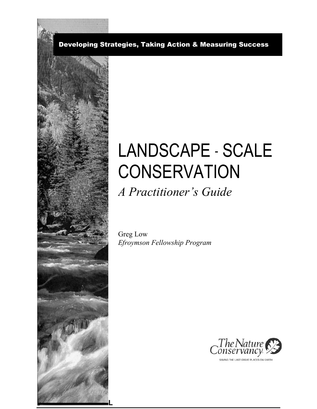Developing Strategies, Taking Action & Measuring Success



# LANDSCAPE - SCALE **CONSERVATION** *A Practitioner's Guide*

Greg Low *Efroymson Fellowship Program*



SAVING THE LAST GREAT PLACES ON EARTH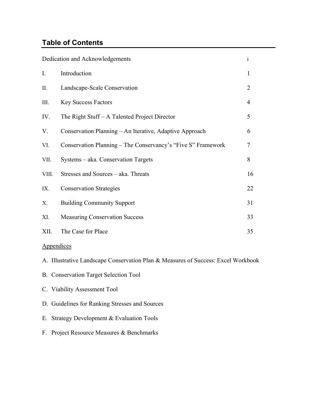## **Table of Contents**

|             | Dedication and Acknowledgements                              | $\mathbf{i}$   |
|-------------|--------------------------------------------------------------|----------------|
| $I_{\cdot}$ | Introduction                                                 | 1              |
| II.         | Landscape-Scale Conservation                                 | $\overline{2}$ |
| III.        | <b>Key Success Factors</b>                                   | 4              |
| IV.         | The Right Stuff – A Talented Project Director                | 5              |
| V.          | Conservation Planning – An Iterative, Adaptive Approach      | 6              |
| VI.         | Conservation Planning - The Conservancy's "Five S" Framework | 7              |
| VII.        | Systems – aka. Conservation Targets                          | 8              |
| VIII.       | Stresses and Sources - aka. Threats                          | 16             |
| IX.         | <b>Conservation Strategies</b>                               | 22             |
| Χ.          | <b>Building Community Support</b>                            | 31             |
| XI.         | <b>Measuring Conservation Success</b>                        | 33             |
| XII.        | The Case for Place                                           | 35             |

## Appendices

- A. Illustrative Landscape Conservation Plan & Measures of Success: Excel Workbook
- B. Conservation Target Selection Tool
- C. Viability Assessment Tool
- D. Guidelines for Ranking Stresses and Sources
- E. Strategy Development & Evaluation Tools
- F. Project Resource Measures & Benchmarks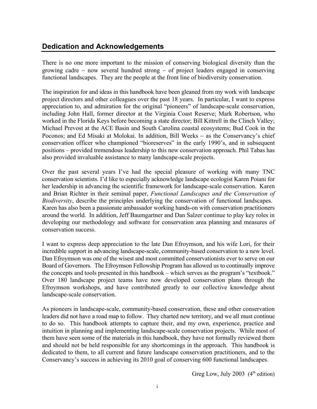## **Dedication and Acknowledgements**

There is no one more important to the mission of conserving biological diversity than the growing cadre − now several hundred strong − of project leaders engaged in conserving functional landscapes. They are the people at the front line of biodiversity conservation.

The inspiration for and ideas in this handbook have been gleaned from my work with landscape project directors and other colleagues over the past 18 years. In particular, I want to express appreciation to, and admiration for the original "pioneers" of landscape-scale conservation, including John Hall, former director at the Virginia Coast Reserve; Mark Robertson, who worked in the Florida Keys before becoming a state director; Bill Kittrell in the Clinch Valley; Michael Prevost at the ACE Basin and South Carolina coastal ecosystems; Bud Cook in the Poconos; and Ed Misaki at Molokai. In addition, Bill Weeks – as the Conservancy's chief conservation officer who championed "bioreserves" in the early 1990's, and in subsequent positions provided tremendous leadership to this new conservation approach. Phil Tabas has also provided invaluable assistance to many landscape-scale projects.

Over the past several years I've had the special pleasure of working with many TNC conservation scientists. I'd like to especially acknowledge landscape ecologist Karen Poiani for her leadership in advancing the scientific framework for landscape-scale conservation. Karen and Brian Richter in their seminal paper, *Functional Landscapes and the Conservation of Biodiversity*, describe the principles underlying the conservation of functional landscapes. Karen has also been a passionate ambassador working hands-on with conservation practitioners around the world. In addition, Jeff Baumgartner and Dan Salzer continue to play key roles in developing our methodology and software for conservation area planning and measures of conservation success.

I want to express deep appreciation to the late Dan Efroymson, and his wife Lori, for their incredible support in advancing landscape-scale, community-based conservation to a new level. Dan Efroymson was one of the wisest and most committed conservationists ever to serve on our Board of Governors. The Efroymson Fellowship Program has allowed us to continually improve the concepts and tools presented in this handbook – which serves as the program's "textbook." Over 180 landscape project teams have now developed conservation plans through the Efroymson workshops, and have contributed greatly to our collective knowledge about landscape-scale conservation.

As pioneers in landscape-scale, community-based conservation, these and other conservation leaders did not have a road map to follow. They charted new territory, and we all must continue to do so. This handbook attempts to capture their, and my own, experience, practice and intuition in planning and implementing landscape-scale conservation projects. While most of them have seen some of the materials in this handbook, they have not formally reviewed them and should not be held responsible for any shortcomings in the approach. This handbook is dedicated to them, to all current and future landscape conservation practitioners, and to the Conservancy's success in achieving its 2010 goal of conserving 600 functional landscapes.

Greg Low, July 2003  $(4<sup>th</sup>$  edition)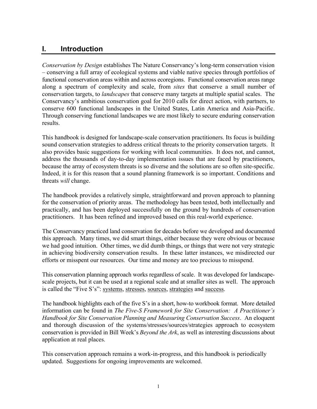## **I. Introduction**

Conservation by Design establishes The Nature Conservancy's long-term conservation vision conserving a full array of ecological systems and viable native species through portfolios of functional conservation areas within and across ecoregions. Functional conservation areas range along a spectrum of complexity and scale, from *sites* that conserve a small number of conservation targets, to *landscapes* that conserve many targets at multiple spatial scales. The Conservancy's ambitious conservation goal for 2010 calls for direct action, with partners, to conserve 600 functional landscapes in the United States, Latin America and Asia-Pacific. Through conserving functional landscapes we are most likely to secure enduring conservation results.

This handbook is designed for landscape-scale conservation practitioners. Its focus is building sound conservation strategies to address critical threats to the priority conservation targets. It also provides basic suggestions for working with local communities. It does not, and cannot, address the thousands of day-to-day implementation issues that are faced by practitioners, because the array of ecosystem threats is so diverse and the solutions are so often site-specific. Indeed, it is for this reason that a sound planning framework is so important. Conditions and threats *will* change.

The handbook provides a relatively simple, straightforward and proven approach to planning for the conservation of priority areas. The methodology has been tested, both intellectually and practically, and has been deployed successfully on the ground by hundreds of conservation practitioners. It has been refined and improved based on this real-world experience.

The Conservancy practiced land conservation for decades before we developed and documented this approach. Many times, we did smart things, either because they were obvious or because we had good intuition. Other times, we did dumb things, or things that were not very strategic in achieving biodiversity conservation results. In these latter instances, we misdirected our efforts or misspent our resources. Our time and money are too precious to misspend.

This conservation planning approach works regardless of scale. It was developed for landscapescale projects, but it can be used at a regional scale and at smaller sites as well. The approach is called the "Five S's": systems, stresses, sources, strategies and success.

The handbook highlights each of the five S's in a short, how-to workbook format. More detailed information can be found in *The Five-S Framework for Site Conservation: A Practitioner's Handbook for Site Conservation Planning and Measuring Conservation Success*. An eloquent and thorough discussion of the systems/stresses/sources/strategies approach to ecosystem conservation is provided in Bill Week's *Beyond the Ark*, as well as interesting discussions about application at real places.

This conservation approach remains a work-in-progress, and this handbook is periodically updated. Suggestions for ongoing improvements are welcomed.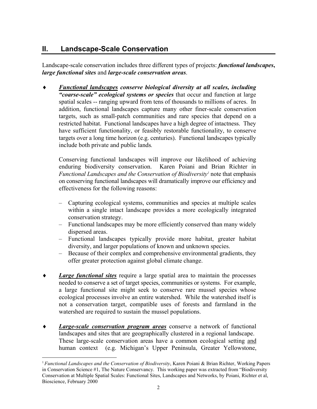## **II. Landscape-Scale Conservation**

Landscape-scale conservation includes three different types of projects: *functional landscapes***,** *large functional sites* and *large-scale conservation areas*.

*Functional landscapes conserve biological diversity at all scales, including* "coarse-scale" ecological systems or species that occur and function at large spatial scales -- ranging upward from tens of thousands to millions of acres. In addition, functional landscapes capture many other finer-scale conservation targets, such as small-patch communities and rare species that depend on a restricted habitat. Functional landscapes have a high degree of intactness. They have sufficient functionality, or feasibly restorable functionality, to conserve targets over a long time horizon (e.g. centuries). Functional landscapes typically include both private and public lands*.*

Conserving functional landscapes will improve our likelihood of achieving enduring biodiversity conservation. Karen Poiani and Brian Richter in Functional Landscapes and the Conservation of Biodiversity<sup>1</sup> note that emphasis on conserving functional landscapes will dramatically improve our efficiency and effectiveness for the following reasons:

- Capturing ecological systems, communities and species at multiple scales within a single intact landscape provides a more ecologically integrated conservation strategy.
- Functional landscapes may be more efficiently conserved than many widely dispersed areas.
- Functional landscapes typically provide more habitat, greater habitat diversity, and larger populations of known and unknown species.
- Because of their complex and comprehensive environmental gradients, they offer greater protection against global climate change.
- *Large functional sites* require a large spatial area to maintain the processes needed to conserve a set of target species, communities or systems. For example, a large functional site might seek to conserve rare mussel species whose ecological processes involve an entire watershed. While the watershed itself is not a conservation target, compatible uses of forests and farmland in the watershed are required to sustain the mussel populations.
- ♦ *Large-scale conservation program areas* conserve a network of functional landscapes and sites that are geographically clustered in a regional landscape. These large-scale conservation areas have a common ecological setting and human context (e.g. Michigan's Upper Peninsula, Greater Yellowstone,

<sup>1</sup>*Functional Landscapes and the Conservation of Biodiversity*, Karen Poiani & Brian Richter, Working Papers in Conservation Science #1, The Nature Conservancy. This working paper was extracted from "Biodiversity" Conservation at Multiple Spatial Scales: Functional Sites, Landscapes and Networks, by Poiani, Richter et al, Bioscience, February 2000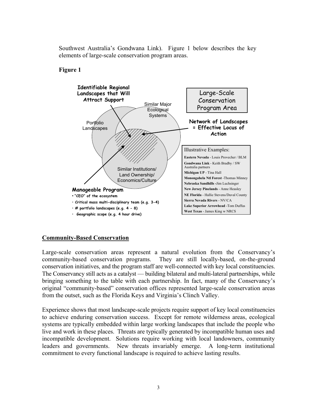Southwest Australia's Gondwana Link). Figure 1 below describes the key elements of large-scale conservation program areas.

#### **Figure 1**



#### **Community-Based Conservation**

Large-scale conservation areas represent a natural evolution from the Conservancy's community-based conservation programs. They are still locally-based, on-the-ground conservation initiatives, and the program staff are well-connected with key local constituencies. The Conservancy still acts as a catalyst — building bilateral and multi-lateral partnerships, while bringing something to the table with each partnership. In fact, many of the Conservancy's original "community-based" conservation offices represented large-scale conservation areas from the outset, such as the Florida Keys and Virginia's Clinch Valley.

Experience shows that most landscape-scale projects require support of key local constituencies to achieve enduring conservation success. Except for remote wilderness areas, ecological systems are typically embedded within large working landscapes that include the people who live and work in these places. Threats are typically generated by incompatible human uses and incompatible development. Solutions require working with local landowners, community leaders and governments. New threats invariably emerge. A long-term institutional commitment to every functional landscape is required to achieve lasting results.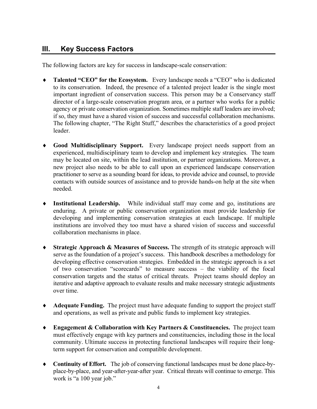## **III. Key Success Factors**

The following factors are key for success in landscape-scale conservation:

- **Talented "CEO" for the Ecosystem.** Every landscape needs a "CEO" who is dedicated to its conservation. Indeed, the presence of a talented project leader is the single most important ingredient of conservation success. This person may be a Conservancy staff director of a large-scale conservation program area, or a partner who works for a public agency or private conservation organization. Sometimes multiple staff leaders are involved; if so, they must have a shared vision of success and successful collaboration mechanisms. The following chapter, "The Right Stuff," describes the characteristics of a good project leader.
- ♦ **Good Multidisciplinary Support.** Every landscape project needs support from an experienced, multidisciplinary team to develop and implement key strategies. The team may be located on site, within the lead institution, or partner organizations. Moreover, a new project also needs to be able to call upon an experienced landscape conservation practitioner to serve as a sounding board for ideas, to provide advice and counsel, to provide contacts with outside sources of assistance and to provide hands-on help at the site when needed.
- ♦ **Institutional Leadership.** While individual staff may come and go, institutions are enduring. A private or public conservation organization must provide leadership for developing and implementing conservation strategies at each landscape. If multiple institutions are involved they too must have a shared vision of success and successful collaboration mechanisms in place.
- ♦ **Strategic Approach & Measures of Success.** The strength of its strategic approach will serve as the foundation of a project's success. This handbook describes a methodology for developing effective conservation strategies. Embedded in the strategic approach is a set of two conservation "scorecards" to measure success  $-$  the viability of the focal conservation targets and the status of critical threats. Project teams should deploy an iterative and adaptive approach to evaluate results and make necessary strategic adjustments over time.
- ♦ **Adequate Funding.** The project must have adequate funding to support the project staff and operations, as well as private and public funds to implement key strategies.
- ♦ **Engagement & Collaboration with Key Partners & Constituencies.** The project team must effectively engage with key partners and constituencies, including those in the local community. Ultimate success in protecting functional landscapes will require their longterm support for conservation and compatible development.
- ♦ **Continuity of Effort.** The job of conserving functional landscapes must be done place-byplace-by-place, and year-after-year-after year. Critical threats will continue to emerge. This work is "a 100 year job."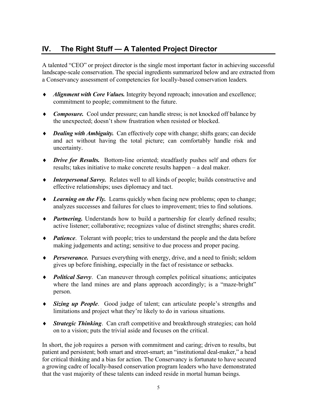## **IV.** The Right Stuff - A Talented Project Director

A talented "CEO" or project director is the single most important factor in achieving successful landscape-scale conservation. The special ingredients summarized below and are extracted from a Conservancy assessment of competencies for locally-based conservation leaders*.*

- ♦ *Alignment with Core Values.* Integrity beyond reproach; innovation and excellence; commitment to people; commitment to the future.
- ♦ *Composure.* Cool under pressure; can handle stress; is not knocked off balance by the unexpected; doesn't show frustration when resisted or blocked.
- ♦ *Dealing with Ambiguity.* Can effectively cope with change; shifts gears; can decide and act without having the total picture; can comfortably handle risk and uncertainty.
- ♦ *Drive for Results.* Bottom-line oriented; steadfastly pushes self and others for results; takes initiative to make concrete results happen – a deal maker.
- ♦ *Interpersonal Savvy.* Relates well to all kinds of people; builds constructive and effective relationships; uses diplomacy and tact.
- ♦ *Learning on the Fly.* Learns quickly when facing new problems; open to change; analyzes successes and failures for clues to improvement; tries to find solutions.
- ♦ *Partnering.* Understands how to build a partnership for clearly defined results; active listener; collaborative; recognizes value of distinct strengths; shares credit.
- ♦ *Patience*. Tolerant with people; tries to understand the people and the data before making judgements and acting; sensitive to due process and proper pacing.
- ♦ *Perseverance.* Pursues everything with energy, drive, and a need to finish; seldom gives up before finishing, especially in the fact of resistance or setbacks.
- ♦ *Political Savvy*. Can maneuver through complex political situations; anticipates where the land mines are and plans approach accordingly; is a "maze-bright" person.
- Sizing up People. Good judge of talent; can articulate people's strengths and limitations and project what they're likely to do in various situations.
- ♦ *Strategic Thinking*. Can craft competitive and breakthrough strategies; can hold on to a vision; puts the trivial aside and focuses on the critical.

In short, the job requires a person with commitment and caring; driven to results, but patient and persistent; both smart and street-smart; an "institutional deal-maker," a head for critical thinking and a bias for action. The Conservancy is fortunate to have secured a growing cadre of locally-based conservation program leaders who have demonstrated that the vast majority of these talents can indeed reside in mortal human beings.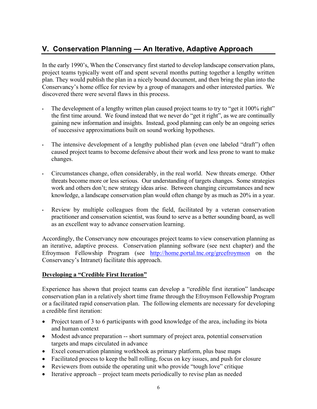## **V. Conservation Planning — An Iterative, Adaptive Approach**

In the early 1990's, When the Conservancy first started to develop landscape conservation plans, project teams typically went off and spent several months putting together a lengthy written plan. They would publish the plan in a nicely bound document, and then bring the plan into the Conservancy's home office for review by a group of managers and other interested parties. We discovered there were several flaws in this process.

- The development of a lengthy written plan caused project teams to try to "get it  $100\%$  right" the first time around. We found instead that we never do "get it right", as we are continually gaining new information and insights. Instead, good planning can only be an ongoing series of successive approximations built on sound working hypotheses.
- The intensive development of a lengthy published plan (even one labeled "draft") often caused project teams to become defensive about their work and less prone to want to make changes.
- Circumstances change, often considerably, in the real world. New threats emerge. Other threats become more or less serious. Our understanding of targets changes. Some strategies work and others don't; new strategy ideas arise. Between changing circumstances and new knowledge, a landscape conservation plan would often change by as much as 20% in a year.
- Review by multiple colleagues from the field, facilitated by a veteran conservation practitioner and conservation scientist, was found to serve as a better sounding board, as well as an excellent way to advance conservation learning.

Accordingly, the Conservancy now encourages project teams to view conservation planning as an iterative, adaptive process. Conservation planning software (see next chapter) and the Efroymson Fellowship Program (see http://home.portal.tnc.org/grcefroymson on the Conservancy's Intranet) facilitate this approach.

#### **Developing a "Credible First Iteration"**

Experience has shown that project teams can develop a "credible first iteration" landscape conservation plan in a relatively short time frame through the Efroymson Fellowship Program or a facilitated rapid conservation plan. The following elements are necessary for developing a credible first iteration:

- Project team of 3 to 6 participants with good knowledge of the area, including its biota and human context
- Modest advance preparation -- short summary of project area, potential conservation targets and maps circulated in advance
- Excel conservation planning workbook as primary platform, plus base maps
- Facilitated process to keep the ball rolling, focus on key issues, and push for closure
- Reviewers from outside the operating unit who provide "tough love" critique
- Iterative approach  $-$  project team meets periodically to revise plan as needed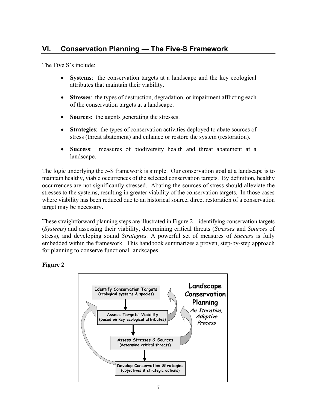## **VI.** Conservation Planning - The Five-S Framework

The Five S's include:

- **Systems**: the conservation targets at a landscape and the key ecological attributes that maintain their viability.
- **Stresses**: the types of destruction, degradation, or impairment afflicting each of the conservation targets at a landscape.
- **Sources**: the agents generating the stresses.
- **Strategies**: the types of conservation activities deployed to abate sources of stress (threat abatement) and enhance or restore the system (restoration).
- **Success**: measures of biodiversity health and threat abatement at a landscape.

The logic underlying the 5-S framework is simple. Our conservation goal at a landscape is to maintain healthy, viable occurrences of the selected conservation targets. By definition, healthy occurrences are not significantly stressed. Abating the sources of stress should alleviate the stresses to the systems, resulting in greater viability of the conservation targets. In those cases where viability has been reduced due to an historical source, direct restoration of a conservation target may be necessary.

These straightforward planning steps are illustrated in Figure  $2$  – identifying conservation targets (*Systems*) and assessing their viability, determining critical threats (*Stresses* and *Sources* of stress), and developing sound *Strategies.* A powerful set of measures of *Success* is fully embedded within the framework. This handbook summarizes a proven, step-by-step approach for planning to conserve functional landscapes.

#### **Figure 2**

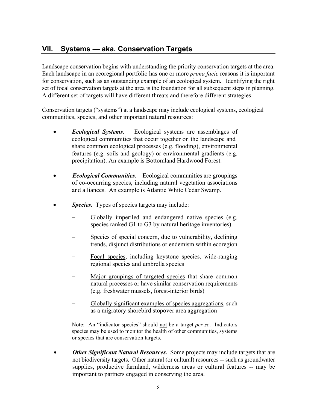## **VII.** Systems - aka. Conservation Targets

Landscape conservation begins with understanding the priority conservation targets at the area. Each landscape in an ecoregional portfolio has one or more *prima facie* reasons it is important for conservation, such as an outstanding example of an ecological system. Identifying the right set of focal conservation targets at the area is the foundation for all subsequent steps in planning. A different set of targets will have different threats and therefore different strategies.

Conservation targets ("systems") at a landscape may include ecological systems, ecological communities, species, and other important natural resources:

- *Ecological Systems*. Ecological systems are assemblages of ecological communities that occur together on the landscape and share common ecological processes (e.g. flooding), environmental features (e.g. soils and geology) or environmental gradients (e.g. precipitation). An example is Bottomland Hardwood Forest.
- *Ecological Communities.* Ecological communities are groupings of co-occurring species, including natural vegetation associations and alliances. An example is Atlantic White Cedar Swamp.
- *Species.* Types of species targets may include:
	- Globally imperiled and endangered native species (e.g. species ranked G1 to G3 by natural heritage inventories)
	- Species of special concern, due to vulnerability, declining trends, disjunct distributions or endemism within ecoregion
	- Focal species, including keystone species, wide-ranging regional species and umbrella species
	- Major groupings of targeted species that share common natural processes or have similar conservation requirements (e.g. freshwater mussels, forest-interior birds)
	- Globally significant examples of species aggregations, such as a migratory shorebird stopover area aggregation

Note: An "indicator species" should not be a target *per se*. Indicators species may be used to monitor the health of other communities, systems or species that are conservation targets.

• *Other Significant Natural Resources.* Some projects may include targets that are not biodiversity targets. Other natural (or cultural) resources -- such as groundwater supplies, productive farmland, wilderness areas or cultural features -- may be important to partners engaged in conserving the area.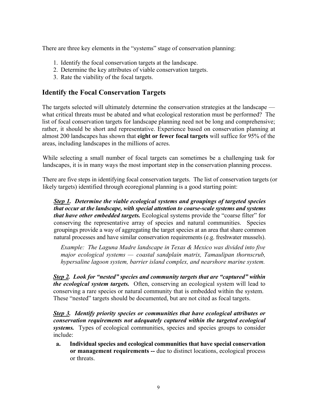There are three key elements in the "systems" stage of conservation planning:

- 1. Identify the focal conservation targets at the landscape.
- 2. Determine the key attributes of viable conservation targets.
- 3. Rate the viability of the focal targets.

## **Identify the Focal Conservation Targets**

The targets selected will ultimately determine the conservation strategies at the landscape what critical threats must be abated and what ecological restoration must be performed? The list of focal conservation targets for landscape planning need not be long and comprehensive; rather, it should be short and representative. Experience based on conservation planning at almost 200 landscapes has shown that **eight or fewer focal targets** will suffice for 95% of the areas, including landscapes in the millions of acres.

While selecting a small number of focal targets can sometimes be a challenging task for landscapes, it is in many ways the most important step in the conservation planning process.

There are five steps in identifying focal conservation targets. The list of conservation targets (or likely targets) identified through ecoregional planning is a good starting point:

*Step 1. Determine the viable ecological systems and groupings of targeted species that occur at the landscape, with special attention to coarse-scale systems and systems that have other embedded targets.* Ecological systems provide the "coarse filter" for conserving the representative array of species and natural communities. Species groupings provide a way of aggregating the target species at an area that share common natural processes and have similar conservation requirements (e.g. freshwater mussels).

*Example: The Laguna Madre landscape in Texas & Mexico was divided into five* major ecological systems — coastal sandplain matrix, Tamaulipan thornscrub, *hypersaline lagoon system, barrier island complex, and nearshore marine system.*

**Step 2.** Look for "nested" species and community targets that are "captured" within *the ecological system targets.* Often, conserving an ecological system will lead to conserving a rare species or natural community that is embedded within the system. These "nested" targets should be documented, but are not cited as focal targets.

*Step 3. Identify priority species or communities that have ecological attributes or conservation requirements not adequately captured within the targeted ecological systems.* Types of ecological communities, species and species groups to consider include:

**a. Individual species and ecological communities that have special conservation or management requirements --** due to distinct locations, ecological process or threats.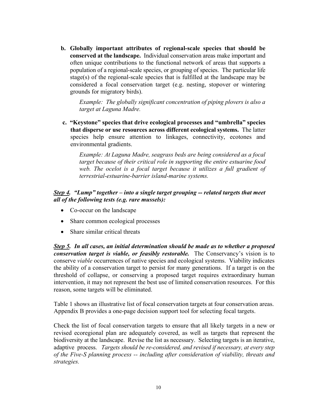**b. Globally important attributes of regional-scale species that should be conserved at the landscape.** Individual conservation areas make important and often unique contributions to the functional network of areas that supports a population of a regional-scale species, or grouping of species. The particular life stage(s) of the regional-scale species that is fulfilled at the landscape may be considered a focal conservation target (e.g. nesting, stopover or wintering grounds for migratory birds).

*Example: The globally significant concentration of piping plovers is also a target at Laguna Madre.*

**c.** "Keystone" species that drive ecological processes and "umbrella" species **that disperse or use resources across different ecological systems.** The latter species help ensure attention to linkages, connectivity, ecotones and environmental gradients.

> *Example: At Laguna Madre, seagrass beds are being considered as a focal target because of their critical role in supporting the entire estuarine food web. The ocelot is a focal target because it utilizes a full gradient of terrestrial-estuarine-barrier island-marine systems.*

#### *<u>Step 4</u>. "Lump" together – into a single target grouping -- related targets that meet all of the following tests (e.g. rare mussels):*

- Co-occur on the landscape
- Share common ecological processes
- Share similar critical threats

*Step 5. In all cases, an initial determination should be made as to whether a proposed* conservation target is viable, or feasibly restorable. The Conservancy's vision is to conserve *viable* occurrences of native species and ecological systems. Viability indicates the ability of a conservation target to persist for many generations. If a target is on the threshold of collapse, or conserving a proposed target requires extraordinary human intervention, it may not represent the best use of limited conservation resources. For this reason, some targets will be eliminated.

Table 1 shows an illustrative list of focal conservation targets at four conservation areas. Appendix B provides a one-page decision support tool for selecting focal targets.

Check the list of focal conservation targets to ensure that all likely targets in a new or revised ecoregional plan are adequately covered, as well as targets that represent the biodiversity at the landscape. Revise the list as necessary. Selecting targets is an iterative, adaptive process. *Targets should be re-considered, and revised if necessary, at every step of the Five-S planning process -- including after consideration of viability, threats and strategies.*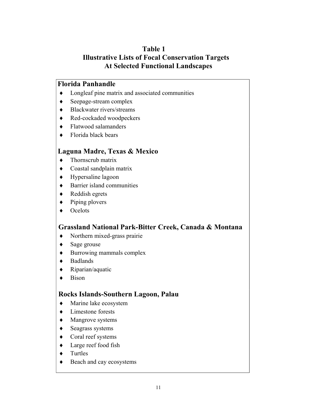## **Table 1 Illustrative Lists of Focal Conservation Targets At Selected Functional Landscapes**

#### **Florida Panhandle**

- ♦ Longleaf pine matrix and associated communities
- ♦ Seepage-stream complex
- ♦ Blackwater rivers/streams
- ♦ Red-cockaded woodpeckers
- ♦ Flatwood salamanders
- $\bullet$  Florida black bears

### **Laguna Madre, Texas & Mexico**

- ♦ Thornscrub matrix
- ♦ Coastal sandplain matrix
- ♦ Hypersaline lagoon
- ♦ Barrier island communities
- ♦ Reddish egrets
- ♦ Piping plovers
- ♦ Ocelots

### **Grassland National Park-Bitter Creek, Canada & Montana**

- ♦ Northern mixed-grass prairie
- ♦ Sage grouse
- ♦ Burrowing mammals complex
- ♦ Badlands
- ♦ Riparian/aquatic
- ♦ Bison

### **Rocks Islands-Southern Lagoon, Palau**

- ♦ Marine lake ecosystem
- ♦ Limestone forests
- ♦ Mangrove systems
- ♦ Seagrass systems
- ♦ Coral reef systems
- ♦ Large reef food fish
- ♦ Turtles
- ♦ Beach and cay ecosystems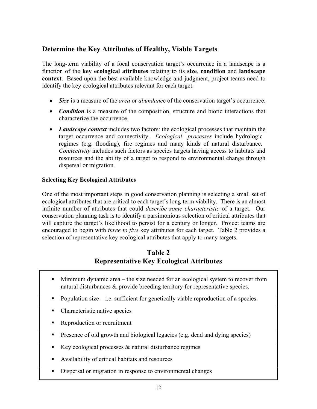## **Determine the Key Attributes of Healthy, Viable Targets**

The long-term viability of a focal conservation target's occurrence in a landscape is a function of the **key ecological attributes** relating to its **size**, **condition** and **landscape context**. Based upon the best available knowledge and judgment, project teams need to identify the key ecological attributes relevant for each target.

- Size is a measure of the *area* or *abundance* of the conservation target's occurrence.
- *Condition* is a measure of the composition, structure and biotic interactions that characterize the occurrence.
- *Landscape context* includes two factors: the ecological processes that maintain the target occurrence and connectivity. *Ecological processes* include hydrologic regimes (e.g. flooding), fire regimes and many kinds of natural disturbance. *Connectivity* includes such factors as species targets having access to habitats and resources and the ability of a target to respond to environmental change through dispersal or migration.

#### **Selecting Key Ecological Attributes**

One of the most important steps in good conservation planning is selecting a small set of ecological attributes that are critical to each target's long-term viability. There is an almost infinite number of attributes that could *describe some characteristic* of a target. Our conservation planning task is to identify a parsimonious selection of critical attributes that will capture the target's likelihood to persist for a century or longer. Project teams are encouraged to begin with *three to five* key attributes for each target. Table 2 provides a selection of representative key ecological attributes that apply to many targets.

## **Table 2 Representative Key Ecological Attributes**

- $\blacksquare$  Minimum dynamic area the size needed for an ecological system to recover from natural disturbances & provide breeding territory for representative species.
- Population size  $-i.e.$  sufficient for genetically viable reproduction of a species.
- Characteristic native species
- Reproduction or recruitment
- **Presence of old growth and biological legacies (e.g. dead and dying species)**
- Key ecological processes  $&$  natural disturbance regimes
- Availability of critical habitats and resources
- Dispersal or migration in response to environmental changes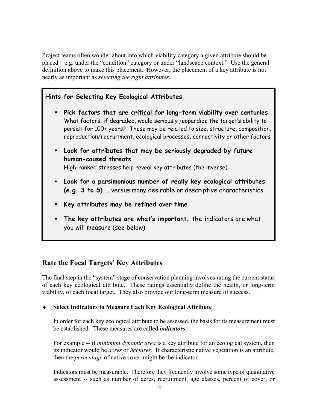Project teams often wonder about into which viability category a given attribute should be placed  $-e.g.$  under the "condition" category or under "landscape context." Use the general definition above to make this placement. However, the placement of a key attribute is not nearly as important as *selecting the right attributes*.

### **Hints for Selecting Key Ecological Attributes**

- **Pick factors that are critical for long-term viability over centuries** What factors, if degraded, would seriously jeopardize the target's ability to persist for 100+ years? These may be related to size, structure, composition, reproduction/recruitment, ecological processes, connectivity or other factors
- **Look for attributes that may be seriously degraded by future human-caused threats**

High-ranked stresses help reveal key attributes (the inverse)

- **Look for a parsimonious number of really key ecological attributes (e.g. 3 to 5)** ... versus many desirable or descriptive characteristics
- **Key attributes may be refined over time**
- **The key attributes are what's important;** the indicators are what you will measure (see below)

## **Rate the Focal Targets' Key Attributes**

The final step in the "system" stage of conservation planning involves rating the current status of each key ecological attribute. These ratings essentially define the health, or long-term viability, of each focal target. They also provide our long-term measure of success.

#### **<u>Select Indicators to Measure Each Key Ecological Attribute</u>**

In order for each key ecological attribute to be assessed, the basis for its measurement must be established. These measures are called *indicators*.

For example -- if *minimum dynamic area* is a key attribute for an ecological system, then its indicator would be *acres* or *hectares*. If characteristic native vegetation is an attribute, then the *percentage* of native cover might be the indicator.

Indicators must be measurable. Therefore they frequently involve some type of quantitative assessment -- such as number of acres, recruitment, age classes, percent of cover, or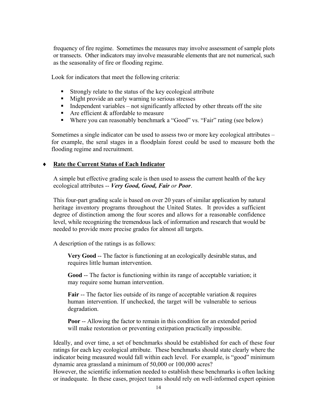frequency of fire regime. Sometimes the measures may involve assessment of sample plots or transects. Other indicators may involve measurable elements that are not numerical, such as the seasonality of fire or flooding regime.

Look for indicators that meet the following criteria:

- Strongly relate to the status of the key ecological attribute
- Might provide an early warning to serious stresses
- Independent variables not significantly affected by other threats off the site
- Are efficient  $&$  affordable to measure
- Where you can reasonably benchmark a "Good" vs. "Fair" rating (see below)

Sometimes a single indicator can be used to assess two or more key ecological attributes for example, the seral stages in a floodplain forest could be used to measure both the flooding regime and recruitment.

#### **Rate the Current Status of Each Indicator**

A simple but effective grading scale is then used to assess the current health of the key ecological attributes -- *Very Good, Good, Fair or Poor*.

This four-part grading scale is based on over 20 years of similar application by natural heritage inventory programs throughout the United States. It provides a sufficient degree of distinction among the four scores and allows for a reasonable confidence level, while recognizing the tremendous lack of information and research that would be needed to provide more precise grades for almost all targets.

A description of the ratings is as follows:

**Very Good** -- The factor is functioning at an ecologically desirable status, and requires little human intervention.

**Good** -- The factor is functioning within its range of acceptable variation; it may require some human intervention.

**Fair** -- The factor lies outside of its range of acceptable variation & requires human intervention. If unchecked, the target will be vulnerable to serious degradation.

**Poor** -- Allowing the factor to remain in this condition for an extended period will make restoration or preventing extirpation practically impossible.

Ideally, and over time, a set of benchmarks should be established for each of these four ratings for each key ecological attribute. These benchmarks should state clearly where the indicator being measured would fall within each level. For example, is "good" minimum dynamic area grassland a minimum of 50,000 or 100,000 acres?

However, the scientific information needed to establish these benchmarks is often lacking or inadequate. In these cases, project teams should rely on well-informed expert opinion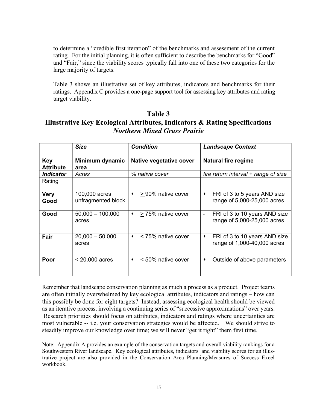to determine a "credible first iteration" of the benchmarks and assessment of the current rating. For the initial planning, it is often sufficient to describe the benchmarks for "Good" and "Fair," since the viability scores typically fall into one of these two categories for the large majority of targets.

Table 3 shows an illustrative set of key attributes, indicators and benchmarks for their ratings. Appendix C provides a one-page support tool for assessing key attributes and rating target viability.

## **Table 3 Illustrative Key Ecological Attributes, Indicators & Rating Specifications** *Northern Mixed Grass Prairie*

|                                | <b>Size</b>                         | <b>Condition</b>                      | <b>Landscape Context</b>                                                  |
|--------------------------------|-------------------------------------|---------------------------------------|---------------------------------------------------------------------------|
| <b>Key</b><br><b>Attribute</b> | Minimum dynamic<br>area             | Native vegetative cover               | <b>Natural fire regime</b>                                                |
| <i><b>Indicator</b></i>        | Acres                               | % native cover                        | fire return interval + range of size                                      |
| Rating<br><b>Very</b><br>Good  | 100,000 acres<br>unfragmented block | > 90% native cover<br>$\bullet$       | FRI of 3 to 5 years AND size<br>٠<br>range of 5,000-25,000 acres          |
|                                |                                     |                                       |                                                                           |
| Good                           | $50,000 - 100,000$<br>acres         | > 75% native cover<br>$\blacklozenge$ | FRI of 3 to 10 years AND size<br>$\bullet$<br>range of 5,000-25,000 acres |
| Fair                           | $20,000 - 50,000$<br>acres          | < 75% native cover<br>٠               | FRI of 3 to 10 years AND size<br>٠<br>range of 1,000-40,000 acres         |
| Poor                           | $<$ 20,000 acres                    | < 50% native cover<br>۰               | Outside of above parameters<br>٠                                          |

Remember that landscape conservation planning as much a process as a product. Project teams are often initially overwhelmed by key ecological attributes, indicators and ratings – how can this possibly be done for eight targets? Instead, assessing ecological health should be viewed as an iterative process, involving a continuing series of "successive approximations" over years. Research priorities should focus on attributes, indicators and ratings where uncertainties are most vulnerable -- i.e. your conservation strategies would be affected. We should strive to steadily improve our knowledge over time; we will never "get it right" them first time.

Note: Appendix A provides an example of the conservation targets and overall viability rankings for a Southwestern River landscape. Key ecological attributes, indicators and viability scores for an illustrative project are also provided in the Conservation Area Planning/Measures of Success Excel workbook.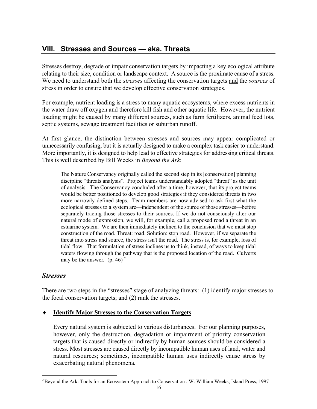## **VIII. Stresses and Sources — aka. Threats**

Stresses destroy, degrade or impair conservation targets by impacting a key ecological attribute relating to their size, condition or landscape context. A source is the proximate cause of a stress. We need to understand both the *stresses* affecting the conservation targets and the *sources* of stress in order to ensure that we develop effective conservation strategies.

For example, nutrient loading is a stress to many aquatic ecosystems, where excess nutrients in the water draw off oxygen and therefore kill fish and other aquatic life. However, the nutrient loading might be caused by many different sources, such as farm fertilizers, animal feed lots, septic systems, sewage treatment facilities or suburban runoff.

At first glance, the distinction between stresses and sources may appear complicated or unnecessarily confusing, but it is actually designed to make a complex task easier to understand. More importantly, it is designed to help lead to effective strategies for addressing critical threats. This is well described by Bill Weeks in *Beyond the Ark*:

The Nature Conservancy originally called the second step in its [conservation] planning discipline "threats analysis". Project teams understandably adopted "threat" as the unit of analysis. The Conservancy concluded after a time, however, that its project teams would be better positioned to develop good strategies if they considered threats in two more narrowly defined steps. Team members are now advised to ask first what the ecological stresses to a system are—independent of the source of those stresses—before separately tracing those stresses to their sources. If we do not consciously alter our natural mode of expression, we will, for example, call a proposed road a threat in an estuarine system. We are then immediately inclined to the conclusion that we must stop construction of the road. Threat: road. Solution: stop road. However, if we separate the threat into stress and source, the stress isn't the road. The stress is, for example, loss of tidal flow. That formulation of stress inclines us to think, instead, of ways to keep tidal waters flowing through the pathway that is the proposed location of the road. Culverts may be the answer.  $(p. 46)^2$ 

#### *Stresses*

There are two steps in the "stresses" stage of analyzing threats:  $(1)$  identify major stresses to the focal conservation targets; and (2) rank the stresses.

#### ♦ **Identify Major Stresses to the Conservation Targets**

Every natural system is subjected to various disturbances. For our planning purposes, however, only the destruction, degradation or impairment of priority conservation targets that is caused directly or indirectly by human sources should be considered a stress. Most stresses are caused directly by incompatible human uses of land, water and natural resources; sometimes, incompatible human uses indirectly cause stress by exacerbating natural phenomena*.*

<sup>&</sup>lt;sup>2</sup> Beyond the Ark: Tools for an Ecosystem Approach to Conservation, W. William Weeks, Island Press, 1997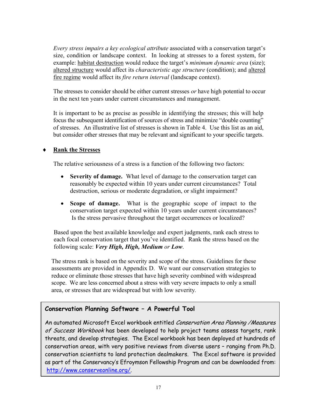Every stress impairs a key ecological attribute associated with a conservation target's size, condition or landscape context. In looking at stresses to a forest system, for example: habitat destruction would reduce the target's *minimum dynamic area* (size); altered structure would affect its *characteristic age structure* (condition); and altered fire regime would affect its *fire return interval* (landscape context).

The stresses to consider should be either current stresses *or* have high potential to occur in the next ten years under current circumstances and management.

It is important to be as precise as possible in identifying the stresses; this will help focus the subsequent identification of sources of stress and minimize "double counting" of stresses. An illustrative list of stresses is shown in Table 4. Use this list as an aid, but consider other stresses that may be relevant and significant to your specific targets.

#### **Rank the Stresses**

The relative seriousness of a stress is a function of the following two factors:

- **Severity of damage.** What level of damage to the conservation target can reasonably be expected within 10 years under current circumstances? Total destruction, serious or moderate degradation, or slight impairment?
- **Scope of damage.** What is the geographic scope of impact to the conservation target expected within 10 years under current circumstances? Is the stress pervasive throughout the target occurrences or localized?

Based upon the best available knowledge and expert judgments, rank each stress to each focal conservation target that you've identified. Rank the stress based on the following scale: *Very High, High, Medium or Low*.

The stress rank is based on the severity and scope of the stress. Guidelines for these assessments are provided in Appendix D. We want our conservation strategies to reduce or eliminate those stresses that have high severity combined with widespread scope. We are less concerned about a stress with very severe impacts to only a small area, or stresses that are widespread but with low severity*.*

#### **Conservation Planning Software A Powerful Tool**

An automated Microsoft Excel workbook entitled Conservation Area Planning / Measures of Success Workbook has been developed to help project teams assess targets, rank threats, and develop strategies. The Excel workbook has been deployed at hundreds of conservation areas, with very positive reviews from diverse users - ranging from Ph.D. conservation scientists to land protection dealmakers. The Excel software is provided as part of the Conservancy's Efroymson Fellowship Program and can be downloaded from: http://www.conserveonline.org/.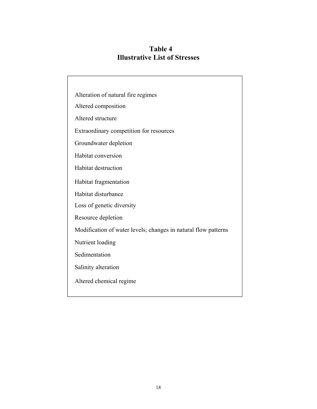**Table 4 Illustrative List of Stresses**

| Alteration of natural fire regimes                             |
|----------------------------------------------------------------|
| Altered composition                                            |
| Altered structure                                              |
| Extraordinary competition for resources                        |
| Groundwater depletion                                          |
| Habitat conversion                                             |
| <b>Habitat destruction</b>                                     |
| Habitat fragmentation                                          |
| Habitat disturbance                                            |
| Loss of genetic diversity                                      |
| Resource depletion                                             |
| Modification of water levels; changes in natural flow patterns |
| Nutrient loading                                               |
| Sedimentation                                                  |
| Salinity alteration                                            |
| Altered chemical regime                                        |
|                                                                |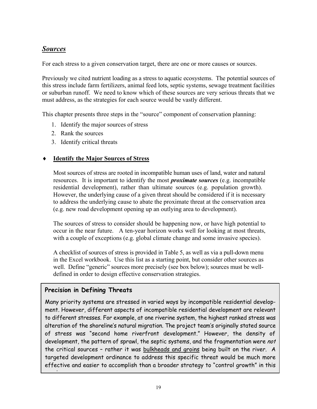## *Sources*

For each stress to a given conservation target, there are one or more causes or sources.

Previously we cited nutrient loading as a stress to aquatic ecosystems. The potential sources of this stress include farm fertilizers, animal feed lots, septic systems, sewage treatment facilities or suburban runoff. We need to know which of these sources are very serious threats that we must address, as the strategies for each source would be vastly different.

This chapter presents three steps in the "source" component of conservation planning:

- 1. Identify the major sources of stress
- 2. Rank the sources
- 3. Identify critical threats

#### **Identify the Major Sources of Stress**

Most sources of stress are rooted in incompatible human uses of land, water and natural resources. It is important to identify the most *proximate sources* (e.g. incompatible residential development), rather than ultimate sources (e.g. population growth). However, the underlying cause of a given threat should be considered if it is necessary to address the underlying cause to abate the proximate threat at the conservation area (e.g. new road development opening up an outlying area to development).

The sources of stress to consider should be happening now, or have high potential to occur in the near future. A ten-year horizon works well for looking at most threats, with a couple of exceptions (e.g. global climate change and some invasive species).

A checklist of sources of stress is provided in Table 5, as well as via a pull-down menu in the Excel workbook. Use this list as a starting point, but consider other sources as well. Define "generic" sources more precisely (see box below); sources must be welldefined in order to design effective conservation strategies.

#### **Precision in Defining Threats**

 $\overline{\phantom{0}}$ 

Many priority systems are stressed in varied ways by incompatible residential development. However, different aspects of incompatible residential development are relevant to different stresses. For example, at one riverine system, the highest ranked stress was alteration of the shoreline's natural migration. The project team's originally stated source of stress was "second home riverfront development." However, the density of development, the pattern of sprawl, the septic systems, and the fragmentation were not the critical sources - rather it was bulkheads and groins being built on the river. A targeted development ordinance to address this specific threat would be much more effective and easier to accomplish than a broader strategy to "control growth" in this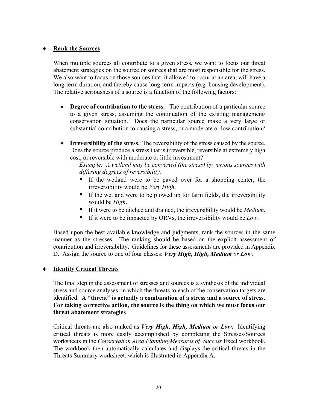#### ♦ **Rank the Sources**

When multiple sources all contribute to a given stress, we want to focus our threat abatement strategies on the source or sources that are most responsible for the stress. We also want to focus on those sources that, if allowed to occur at an area, will have a long-term duration, and thereby cause long-term impacts (e.g. housing development). The relative seriousness of a source is a function of the following factors:

- **Degree of contribution to the stress.** The contribution of a particular source to a given stress, assuming the continuation of the existing management/ conservation situation. Does the particular source make a very large or substantial contribution to causing a stress, or a moderate or low contribution?
- **Irreversibility of the stress**. The reversibility of the stress caused by the source. Does the source produce a stress that is irreversible, reversible at extremely high cost, or reversible with moderate or little investment?

*Example: A wetland may be converted (the stress) by various sources with differing degrees of reversibility.* 

- If the wetland were to be paved over for a shopping center, the irreversibility would be *Very High*.
- If the wetland were to be plowed up for farm fields, the irreversibility would be *High*.
- If it were to be ditched and drained, the irreversibility would be *Medium*.
- If it were to be impacted by ORVs, the irreversibility would be *Low*.

Based upon the best available knowledge and judgments, rank the sources in the same manner as the stresses. The ranking should be based on the explicit assessment of contribution and irreversibility. Guidelines for these assessments are provided in Appendix D. Assign the source to one of four classes: *Very High, High, Medium or Low*.

#### ♦ **Identify Critical Threats**

The final step in the assessment of stresses and sources is a synthesis of the individual stress and source analyses, in which the threats to each of the conservation targets are identified. A "threat" is actually a combination of a stress and a source of stress. **For taking corrective action, the source is the thing on which we must focus our threat abatement strategies**.

Critical threats are also ranked as *Very High, High, Medium or Low***.** Identifying critical threats is more easily accomplished by completing the Stresses/Sources worksheets in the *Conservation Area Planning/Measures of Success* Excel workbook. The workbook then automatically calculates and displays the critical threats in the Threats Summary worksheet, which is illustrated in Appendix A.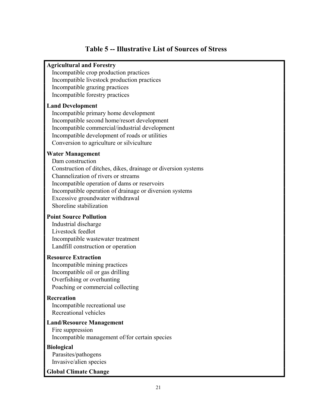## **Table 5 -- Illustrative List of Sources of Stress**

#### **Agricultural and Forestry**

Incompatible crop production practices Incompatible livestock production practices Incompatible grazing practices Incompatible forestry practices

#### **Land Development**

Incompatible primary home development Incompatible second home/resort development Incompatible commercial/industrial development Incompatible development of roads or utilities Conversion to agriculture or silviculture

#### **Water Management**

Dam construction Construction of ditches, dikes, drainage or diversion systems Channelization of rivers or streams Incompatible operation of dams or reservoirs Incompatible operation of drainage or diversion systems Excessive groundwater withdrawal Shoreline stabilization

#### **Point Source Pollution**

Industrial discharge Livestock feedlot Incompatible wastewater treatment Landfill construction or operation

#### **Resource Extraction**

Incompatible mining practices Incompatible oil or gas drilling Overfishing or overhunting Poaching or commercial collecting

#### **Recreation**

Incompatible recreational use Recreational vehicles

### **Land/Resource Management**

Fire suppression Incompatible management of/for certain species

#### **Biological**

Parasites/pathogens Invasive/alien species

#### **Global Climate Change**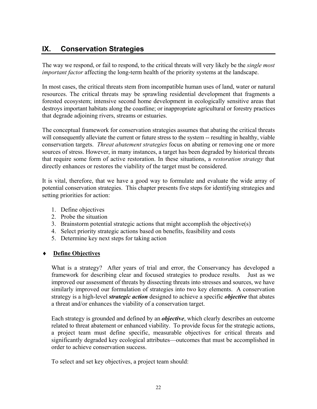## **IX. Conservation Strategies**

The way we respond, or fail to respond, to the critical threats will very likely be the *single most important factor* affecting the long-term health of the priority systems at the landscape.

In most cases, the critical threats stem from incompatible human uses of land, water or natural resources. The critical threats may be sprawling residential development that fragments a forested ecosystem; intensive second home development in ecologically sensitive areas that destroys important habitats along the coastline; or inappropriate agricultural or forestry practices that degrade adjoining rivers, streams or estuaries.

The conceptual framework for conservation strategies assumes that abating the critical threats will consequently alleviate the current or future stress to the system -- resulting in healthy, viable conservation targets. *Threat abatement strategies* focus on abating or removing one or more sources of stress. However, in many instances, a target has been degraded by historical threats that require some form of active restoration. In these situations, a *restoration strategy* that directly enhances or restores the viability of the target must be considered.

It is vital, therefore, that we have a good way to formulate and evaluate the wide array of potential conservation strategies. This chapter presents five steps for identifying strategies and setting priorities for action:

- 1. Define objectives
- 2. Probe the situation
- 3. Brainstorm potential strategic actions that might accomplish the objective(s)
- 4. Select priority strategic actions based on benefits, feasibility and costs
- 5. Determine key next steps for taking action

#### **Define Objectives**

What is a strategy? After years of trial and error, the Conservancy has developed a framework for describing clear and focused strategies to produce results. Just as we improved our assessment of threats by dissecting threats into stresses and sources, we have similarly improved our formulation of strategies into two key elements. A conservation strategy is a high-level *strategic action* designed to achieve a specific *objective* that abates a threat and/or enhances the viability of a conservation target.

Each strategy is grounded and defined by an *objecti***v***e*, which clearly describes an outcome related to threat abatement or enhanced viability. To provide focus for the strategic actions, a project team must define specific, measurable objectives for critical threats and significantly degraded key ecological attributes—outcomes that must be accomplished in order to achieve conservation success.

To select and set key objectives, a project team should: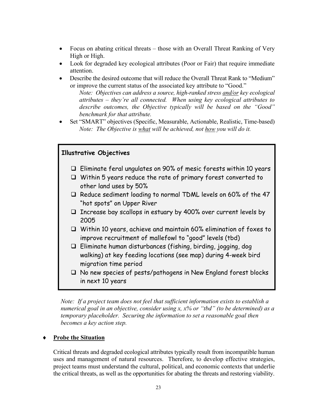- Focus on abating critical threats those with an Overall Threat Ranking of Very High or High.
- Look for degraded key ecological attributes (Poor or Fair) that require immediate attention.
- Describe the desired outcome that will reduce the Overall Threat Rank to "Medium" or improve the current status of the associated key attribute to "Good."

*Note: Objectives can address a source, high-ranked stress and/or key ecological* attributes – they're all connected. When using key ecological attributes to *describe outcomes, the Objective typically will be based on the "Good" benchmark for that attribute.*

Set "SMART" objectives (Specific, Measurable, Actionable, Realistic, Time-based) *Note: The Objective is what will be achieved, not how you will do it.*

#### **Illustrative Objectives**

- $\Box$  Eliminate feral ungulates on 90% of mesic forests within 10 years
- Within 5 years reduce the rate of primary forest converted to other land uses by 50%
- $\Box$  Reduce sediment loading to normal TDML levels on 60% of the 47 "hot spots" on Upper River
- $\Box$  Increase bay scallops in estuary by 400% over current levels by 2005
- Within 10 years, achieve and maintain 60% elimination of foxes to improve recruitment of mallefowl to "good" levels (tbd)
- $\Box$  Eliminate human disturbances (fishing, birding, jogging, dog walking) at key feeding locations (see map) during 4-week bird migration time period
- $\Box$  No new species of pests/pathogens in New England forest blocks in next 10 years

*Note: If a project team does not feel that sufficient information exists to establish a numerical goal in an objective, consider using x, x% or "tbd" (to be determined) as a temporary placeholder. Securing the information to set a reasonable goal then becomes a key action step.*

#### **Probe the Situation**

Critical threats and degraded ecological attributes typically result from incompatible human uses and management of natural resources. Therefore, to develop effective strategies, project teams must understand the cultural, political, and economic contexts that underlie the critical threats, as well as the opportunities for abating the threats and restoring viability.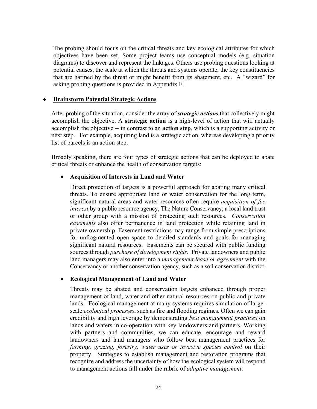The probing should focus on the critical threats and key ecological attributes for which objectives have been set. Some project teams use conceptual models (e.g. situation diagrams) to discover and represent the linkages. Others use probing questions looking at potential causes, the scale at which the threats and systems operate, the key constituencies that are harmed by the threat or might benefit from its abatement, etc. A "wizard" for asking probing questions is provided in Appendix E.

#### **Brainstorm Potential Strategic Actions**

After probing of the situation, consider the array of *strategic actions* that collectively might accomplish the objective. A **strategic action** is a high-level of action that will actually accomplish the objective -- in contrast to an **action step**, which is a supporting activity or next step. For example, acquiring land is a strategic action, whereas developing a priority list of parcels is an action step.

Broadly speaking, there are four types of strategic actions that can be deployed to abate critical threats or enhance the health of conservation targets:

#### • **Acquisition of Interests in Land and Water**

Direct protection of targets is a powerful approach for abating many critical threats. To ensure appropriate land or water conservation for the long term, significant natural areas and water resources often require *acquisition of fee interest* by a public resource agency, The Nature Conservancy, a local land trust or other group with a mission of protecting such resources. *Conservation easements* also offer permanence in land protection while retaining land in private ownership. Easement restrictions may range from simple prescriptions for unfragmented open space to detailed standards and goals for managing significant natural resources. Easements can be secured with public funding sources through *purchase of development rights*. Private landowners and public land managers may also enter into a *management lease or agreement* with the Conservancy or another conservation agency, such as a soil conservation district.

#### • **Ecological Management of Land and Water**

Threats may be abated and conservation targets enhanced through proper management of land, water and other natural resources on public and private lands. Ecological management at many systems requires simulation of largescale *ecological processes*, such as fire and flooding regimes. Often we can gain credibility and high leverage by demonstrating *best management practices* on lands and waters in co-operation with key landowners and partners. Working with partners and communities, we can educate, encourage and reward landowners and land managers who follow best management practices for *farming, grazing, forestry, water uses or invasive species control* on their property. Strategies to establish management and restoration programs that recognize and address the uncertainty of how the ecological system will respond to management actions fall under the rubric of *adaptive management*.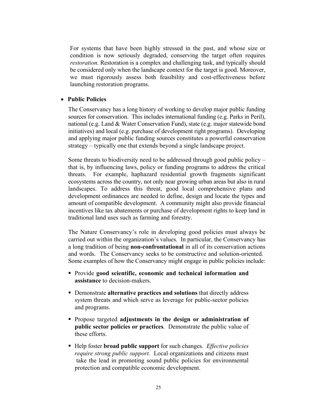For systems that have been highly stressed in the past, and whose size or condition is now seriously degraded, conserving the target often requires *restoration*. Restoration is a complex and challenging task, and typically should be considered only when the landscape context for the target is good. Moreover, we must rigorously assess both feasibility and cost-effectiveness before launching restoration programs.

#### • **Public Policies**

The Conservancy has a long history of working to develop major public funding sources for conservation. This includes international funding (e.g. Parks in Peril), national (e.g. Land & Water Conservation Fund), state (e.g. major statewide bond initiatives) and local (e.g. purchase of development right programs). Developing and applying major public funding sources constitutes a powerful conservation strategy – typically one that extends beyond a single landscape project.

Some threats to biodiversity need to be addressed through good public policy that is, by influencing laws, policy or funding programs to address the critical threats. For example, haphazard residential growth fragments significant ecosystems across the country, not only near growing urban areas but also in rural landscapes. To address this threat, good local comprehensive plans and development ordinances are needed to define, design and locate the types and amount of compatible development. A community might also provide financial incentives like tax abatements or purchase of development rights to keep land in traditional land uses such as farming and forestry.

The Nature Conservancy's role in developing good policies must always be carried out within the organization's values. In particular, the Conservancy has a long tradition of being **non-confrontational** in all of its conservation actions and words. The Conservancy seeks to be constructive and solution-oriented. Some examples of how the Conservancy might engage in public policies include:

- Provide **good scientific, economic and technical information and assistance** to decision-makers.
- Demonstrate **alternative practices and solutions** that directly address system threats and which serve as leverage for public-sector policies and programs.
- Propose targeted **adjustments in the design or administration of public sector policies or practices**. Demonstrate the public value of these efforts.
- Help foster **broad public support** for such changes. *Effective policies require strong public support.* Local organizations and citizens must take the lead in promoting sound public policies for environmental protection and compatible economic development.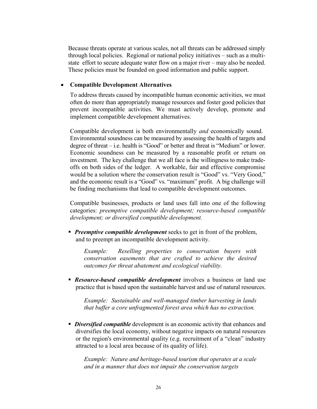Because threats operate at various scales, not all threats can be addressed simply through local policies. Regional or national policy initiatives  $-$  such as a multistate effort to secure adequate water flow on a major river  $-$  may also be needed. These policies must be founded on good information and public support.

#### • **Compatible Development Alternatives**

To address threats caused by incompatible human economic activities, we must often do more than appropriately manage resources and foster good policies that prevent incompatible activities. We must actively develop, promote and implement compatible development alternatives.

Compatible development is both environmentally *and* economically sound. Environmental soundness can be measured by assessing the health of targets and degree of threat  $-$  i.e. health is "Good" or better and threat is "Medium" or lower. Economic soundness can be measured by a reasonable profit or return on investment. The key challenge that we all face is the willingness to make tradeoffs on both sides of the ledger. A workable, fair and effective compromise would be a solution where the conservation result is "Good" vs. "Very Good," and the economic result is a "Good" vs. "maximum" profit. A big challenge will be finding mechanisms that lead to compatible development outcomes.

Compatible businesses, products or land uses fall into one of the following categories: *preemptive compatible development; resource-based compatible development; or diversified compatible development.*

**Preemptive compatible development** seeks to get in front of the problem, and to preempt an incompatible development activity.

*Example: Reselling properties to conservation buyers with conservation easements that are crafted to achieve the desired outcomes for threat abatement and ecological viability.*

**Resource-based compatible development** involves a business or land use practice that is based upon the sustainable harvest and use of natural resources.

*Example: Sustainable and well-managed timber harvesting in lands that buffer a core unfragmented forest area which has no extraction.*

 *Diversified compatible* development is an economic activity that enhances and diversifies the local economy, without negative impacts on natural resources or the region's environmental quality (e.g. recruitment of a "clean" industry attracted to a local area because of its quality of life).

*Example: Nature and heritage-based tourism that operates at a scale and in a manner that does not impair the conservation targets*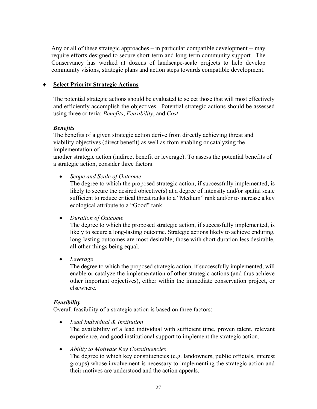Any or all of these strategic approaches  $-$  in particular compatible development  $-$  may require efforts designed to secure short-term and long-term community support. The Conservancy has worked at dozens of landscape-scale projects to help develop community visions, strategic plans and action steps towards compatible development.

#### ♦ **Select Priority Strategic Actions**

The potential strategic actions should be evaluated to select those that will most effectively and efficiently accomplish the objectives. Potential strategic actions should be assessed using three criteria: *Benefits*, *Feasibility*, and *Cost*.

#### *Benefits*

The benefits of a given strategic action derive from directly achieving threat and viability objectives (direct benefit) as well as from enabling or catalyzing the implementation of

another strategic action (indirect benefit or leverage). To assess the potential benefits of a strategic action, consider three factors:

• *Scope and Scale of Outcome*

The degree to which the proposed strategic action, if successfully implemented, is likely to secure the desired objective(s) at a degree of intensity and/or spatial scale sufficient to reduce critical threat ranks to a "Medium" rank and/or to increase a key ecological attribute to a "Good" rank.

#### • *Duration of Outcome*

The degree to which the proposed strategic action, if successfully implemented, is likely to secure a long-lasting outcome. Strategic actions likely to achieve enduring, long-lasting outcomes are most desirable; those with short duration less desirable, all other things being equal.

• *Leverage*

The degree to which the proposed strategic action, if successfully implemented, will enable or catalyze the implementation of other strategic actions (and thus achieve other important objectives), either within the immediate conservation project, or elsewhere.

#### *Feasibility*

Overall feasibility of a strategic action is based on three factors:

- *Lead Individual & Institution* The availability of a lead individual with sufficient time, proven talent, relevant experience, and good institutional support to implement the strategic action.
- *Ability to Motivate Key Constituencies*

The degree to which key constituencies (e.g. landowners, public officials, interest groups) whose involvement is necessary to implementing the strategic action and their motives are understood and the action appeals.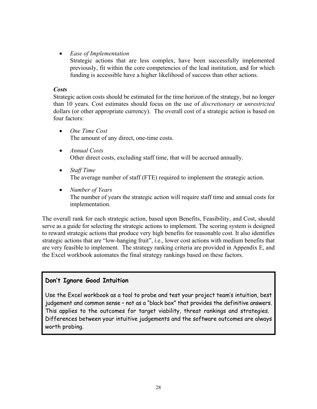#### • *Ease of Implementation*

Strategic actions that are less complex, have been successfully implemented previously, fit within the core competencies of the lead institution, and for which funding is accessible have a higher likelihood of success than other actions.

#### *Costs*

Strategic action costs should be estimated for the time horizon of the strategy, but no longer than 10 years. Cost estimates should focus on the use of *discretionary* or *unrestricted* dollars (or other appropriate currency). The overall cost of a strategic action is based on four factors:

- *One Time Cost* The amount of any direct, one-time costs.
- *Annual Costs* Other direct costs, excluding staff time, that will be accrued annually.
- *Staff Time* The average number of staff (FTE) required to implement the strategic action.
- *Number of Years* The number of years the strategic action will require staff time and annual costs for implementation.

The overall rank for each strategic action, based upon Benefits, Feasibility, and Cost, should serve as a guide for selecting the strategic actions to implement. The scoring system is designed to reward strategic actions that produce very high benefits for reasonable cost. It also identifies strategic actions that are "low-hanging fruit", i.e., lower cost actions with medium benefits that are very feasible to implement. The strategy ranking criteria are provided in Appendix E, and the Excel workbook automates the final strategy rankings based on these factors.

### **Don't Ignore Good Intuition**

Use the Excel workbook as a tool to probe and test your project team's intuition, best judgement and common sense - not as a "black box" that provides the definitive answers. This applies to the outcomes for target viability, threat rankings and strategies. Differences between your intuitive judgements and the software outcomes are always worth probing.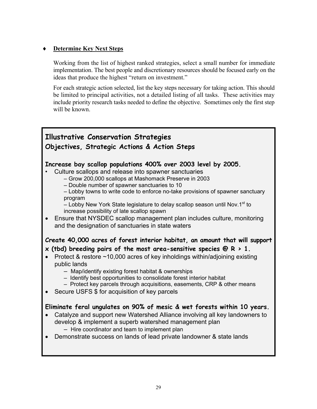#### **Determine Key Next Steps**

Working from the list of highest ranked strategies, select a small number for immediate implementation. The best people and discretionary resources should be focused early on the ideas that produce the highest "return on investment."

For each strategic action selected, list the key steps necessary for taking action. This should be limited to principal activities, not a detailed listing of all tasks. These activities may include priority research tasks needed to define the objective. Sometimes only the first step will be known.

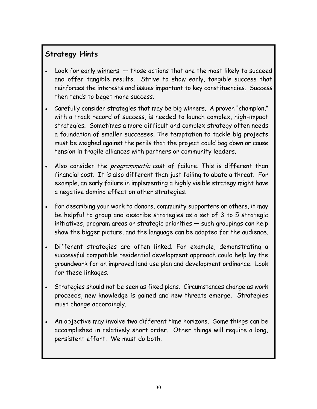## **Strategy Hints**

- Look for early winners  $-$  those actions that are the most likely to succeed and offer tangible results. Strive to show early, tangible success that reinforces the interests and issues important to key constituencies. Success then tends to beget more success.
- Carefully consider strategies that may be big winners. A proven "champion," with a track record of success, is needed to launch complex, high-impact strategies. Sometimes a more difficult and complex strategy often needs a foundation of smaller successes. The temptation to tackle big projects must be weighed against the perils that the project could bog down or cause tension in fragile alliances with partners or community leaders.
- Also consider the *programmatic* cost of failure. This is different than financial cost. It is also different than just failing to abate a threat. For example, an early failure in implementing a highly visible strategy might have a negative domino effect on other strategies.
- For describing your work to donors, community supporters or others, it may be helpful to group and describe strategies as a set of 3 to 5 strategic initiatives, program areas or strategic priorities  $-$  such groupings can help show the bigger picture, and the language can be adapted for the audience.
- Different strategies are often linked. For example, demonstrating a successful compatible residential development approach could help lay the groundwork for an improved land use plan and development ordinance. Look for these linkages.
- Strategies should not be seen as fixed plans. Circumstances change as work proceeds, new knowledge is gained and new threats emerge. Strategies must change accordingly.
- An objective may involve two different time horizons. Some things can be accomplished in relatively short order. Other things will require a long, persistent effort. We must do both.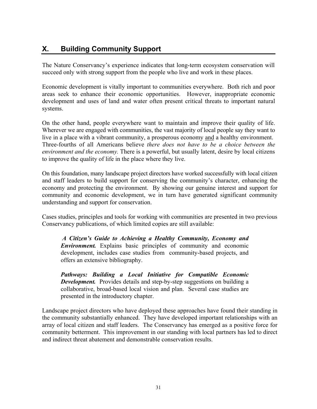## **X. Building Community Support**

The Nature Conservancy's experience indicates that long-term ecosystem conservation will succeed only with strong support from the people who live and work in these places.

Economic development is vitally important to communities everywhere. Both rich and poor areas seek to enhance their economic opportunities. However, inappropriate economic development and uses of land and water often present critical threats to important natural systems.

On the other hand, people everywhere want to maintain and improve their quality of life. Wherever we are engaged with communities, the vast majority of local people say they want to live in a place with a vibrant community, a prosperous economy and a healthy environment. Three-fourths of all Americans believe *there does not have to be a choice between the environment and the economy.* There is a powerful, but usually latent, desire by local citizens to improve the quality of life in the place where they live.

On this foundation, many landscape project directors have worked successfully with local citizen and staff leaders to build support for conserving the community's character, enhancing the economy and protecting the environment. By showing our genuine interest and support for community and economic development, we in turn have generated significant community understanding and support for conservation.

Cases studies, principles and tools for working with communities are presented in two previous Conservancy publications, of which limited copies are still available:

*A Citizen's Guide to Achieving a Healthy Community, Economy and Environment.* Explains basic principles of community and economic development, includes case studies from community-based projects, and offers an extensive bibliography.

*Pathways: Building a Local Initiative for Compatible Economic Development.* Provides details and step-by-step suggestions on building a collaborative, broad-based local vision and plan. Several case studies are presented in the introductory chapter.

Landscape project directors who have deployed these approaches have found their standing in the community substantially enhanced. They have developed important relationships with an array of local citizen and staff leaders. The Conservancy has emerged as a positive force for community betterment. This improvement in our standing with local partners has led to direct and indirect threat abatement and demonstrable conservation results.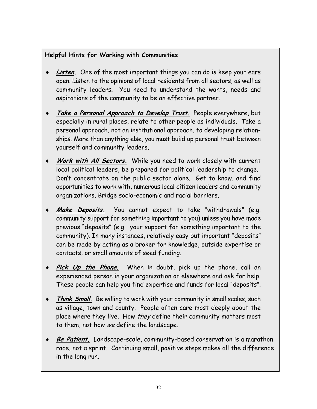## **Helpful Hints for Working with Communities**

- **Listen.** One of the most important things you can do is keep your ears open. Listen to the opinions of local residents from all sectors, as well as community leaders. You need to understand the wants, needs and aspirations of the community to be an effective partner.
- Take a Personal Approach to Develop Trust. People everywhere, but especially in rural places, relate to other people as individuals. Take a personal approach, not an institutional approach, to developing relationships. More than anything else, you must build up personal trust between yourself and community leaders.
- ♦ **Work with All Sectors.** While you need to work closely with current local political leaders, be prepared for political leadership to change. Don't concentrate on the public sector alone. Get to know, and find opportunities to work with, numerous local citizen leaders and community organizations. Bridge socio-economic and racial barriers.
- Make Deposits. You cannot expect to take "withdrawals" (e.g. community support for something important to you) unless you have made previous "deposits" (e.g. your support for something important to the community). In many instances, relatively easy but important "deposits" can be made by acting as a broker for knowledge, outside expertise or contacts, or small amounts of seed funding.
- Pick Up the Phone. When in doubt, pick up the phone, call an experienced person in your organization or elsewhere and ask for help. These people can help you find expertise and funds for local "deposits".
- Think Small. Be willing to work with your community in small scales, such as village, town and county. People often care most deeply about the place where they live. How they define their community matters most to them, not how we define the landscape.
- **Be Patient.** Landscape-scale, community-based conservation is a marathon race, not a sprint. Continuing small, positive steps makes all the difference in the long run.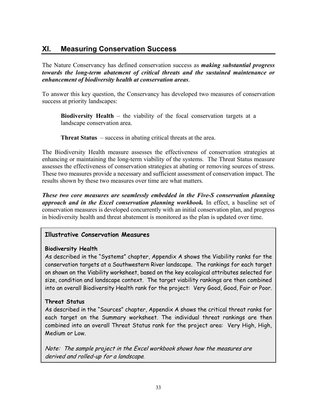## **XI. Measuring Conservation Success**

The Nature Conservancy has defined conservation success as *making substantial progress towards the long-term abatement of critical threats and the sustained maintenance or enhancement of biodiversity health at conservation areas*.

To answer this key question, the Conservancy has developed two measures of conservation success at priority landscapes:

**Biodiversity Health** – the viability of the focal conservation targets at a landscape conservation area.

**Threat Status** – success in abating critical threats at the area.

The Biodiversity Health measure assesses the effectiveness of conservation strategies at enhancing or maintaining the long-term viability of the systems. The Threat Status measure assesses the effectiveness of conservation strategies at abating or removing sources of stress. These two measures provide a necessary and sufficient assessment of conservation impact. The results shown by these two measures over time are what matters.

*These two core measures are seamlessly embedded in the Five-S conservation planning approach and in the Excel conservation planning workbook.* In effect, a baseline set of conservation measures is developed concurrently with an initial conservation plan, and progress in biodiversity health and threat abatement is monitored as the plan is updated over time.

#### **Illustrative Conservation Measures**

#### **Biodiversity Health**

As described in the "Systems" chapter, Appendix A shows the Viability ranks for the conservation targets at a Southwestern River landscape. The rankings for each target on shown on the Viability worksheet, based on the key ecological attributes selected for size, condition and landscape context. The target viability rankings are then combined into an overall Biodiversity Health rank for the project: Very Good, Good, Fair or Poor.

#### **Threat Status**

As described in the "Sources" chapter, Appendix A shows the critical threat ranks for each target on the Summary worksheet. The individual threat rankings are then combined into an overall Threat Status rank for the project area: Very High, High, Medium or Low.

Note: The sample project in the Excel workbook shows how the measures are derived and rolled-up for a landscape.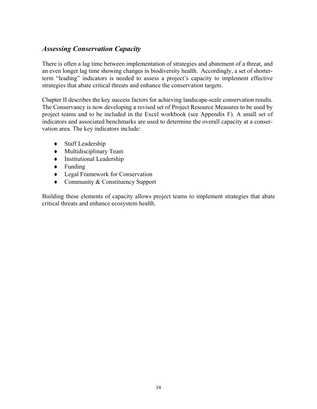## *Assessing Conservation Capacity*

There is often a lag time between implementation of strategies and abatement of a threat, and an even longer lag time showing changes in biodiversity health. Accordingly, a set of shorterterm "leading" indicators is needed to assess a project's capacity to implement effective strategies that abate critical threats and enhance the conservation targets.

Chapter II describes the key success factors for achieving landscape-scale conservation results. The Conservancy is now developing a revised set of Project Resource Measures to be used by project teams and to be included in the Excel workbook (see Appendix F). A small set of indicators and associated benchmarks are used to determine the overall capacity at a conservation area. The key indicators include:

- ♦ Staff Leadership
- ♦ Multidisciplinary Team
- ♦ Institutional Leadership
- ♦ Funding
- ♦ Legal Framework for Conservation
- ♦ Community & Constituency Support

Building these elements of capacity allows project teams to implement strategies that abate critical threats and enhance ecosystem health.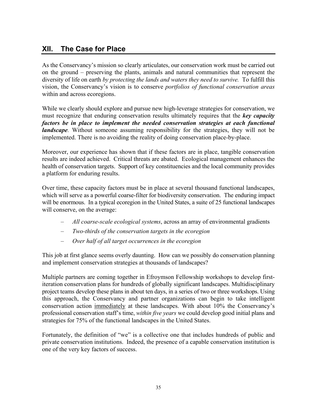## **XII. The Case for Place**

As the Conservancy's mission so clearly articulates, our conservation work must be carried out on the ground – preserving the plants, animals and natural communities that represent the diversity of life on earth *by protecting the lands and waters they need to survive.* To fulfill this vision, the Conservancy's vision is to conserve *portfolios of functional conservation areas* within and across ecoregions.

While we clearly should explore and pursue new high-leverage strategies for conservation, we must recognize that enduring conservation results ultimately requires that the *key capacity factors be in place to implement the needed conservation strategies at each functional landscape*. Without someone assuming responsibility for the strategies, they will not be implemented. There is no avoiding the reality of doing conservation place-by-place.

Moreover, our experience has shown that if these factors are in place, tangible conservation results are indeed achieved. Critical threats are abated. Ecological management enhances the health of conservation targets. Support of key constituencies and the local community provides a platform for enduring results.

Over time, these capacity factors must be in place at several thousand functional landscapes, which will serve as a powerful coarse-filter for biodiversity conservation. The enduring impact will be enormous. In a typical ecoregion in the United States, a suite of 25 functional landscapes will conserve, on the average:

- *All coarse-scale ecological systems*, across an array of environmental gradients
- *Two-thirds of the conservation targets in the ecoregion*
- *Over half of all target occurrences in the ecoregion*

This job at first glance seems overly daunting. How can we possibly do conservation planning and implement conservation strategies at thousands of landscapes?

Multiple partners are coming together in Efroymson Fellowship workshops to develop firstiteration conservation plans for hundreds of globally significant landscapes. Multidisciplinary project teams develop these plans in about ten days, in a series of two or three workshops. Using this approach, the Conservancy and partner organizations can begin to take intelligent conservation action immediately at these landscapes. With about 10% the Conservancy's professional conservation staff's time, *within five years* we could develop good initial plans and strategies for 75% of the functional landscapes in the United States.

Fortunately, the definition of "we" is a collective one that includes hundreds of public and private conservation institutions. Indeed, the presence of a capable conservation institution is one of the very key factors of success.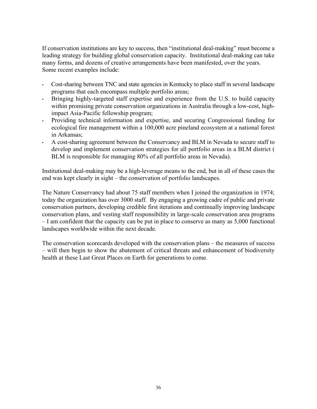If conservation institutions are key to success, then "institutional deal-making" must become a leading strategy for building global conservation capacity. Institutional deal-making can take many forms, and dozens of creative arrangements have been manifested, over the years. Some recent examples include:

- Cost-sharing between TNC and state agencies in Kentucky to place staff in several landscape programs that each encompass multiple portfolio areas;
- Bringing highly-targeted staff expertise and experience from the U.S. to build capacity within promising private conservation organizations in Australia through a low-cost, highimpact Asia-Pacific fellowship program;
- Providing technical information and expertise, and securing Congressional funding for ecological fire management within a 100,000 acre pineland ecosystem at a national forest in Arkansas;
- A cost-sharing agreement between the Conservancy and BLM in Nevada to secure staff to develop and implement conservation strategies for all portfolio areas in a BLM district ( BLM is responsible for managing 80% of all portfolio areas in Nevada).

Institutional deal-making may be a high-leverage means to the end, but in all of these cases the end was kept clearly in sight – the conservation of portfolio landscapes.

The Nature Conservancy had about 75 staff members when I joined the organization in 1974; today the organization has over 3000 staff. By engaging a growing cadre of public and private conservation partners, developing credible first iterations and continually improving landscape conservation plans, and vesting staff responsibility in large-scale conservation area programs  $-I$  am confident that the capacity can be put in place to conserve as many as  $5,000$  functional landscapes worldwide within the next decade.

The conservation scorecards developed with the conservation plans – the measures of success - will then begin to show the abatement of critical threats and enhancement of biodiversity health at these Last Great Places on Earth for generations to come.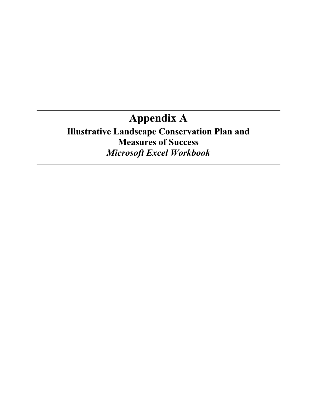# **Appendix A**

## **Illustrative Landscape Conservation Plan and Measures of Success** *Microsoft Excel Workbook*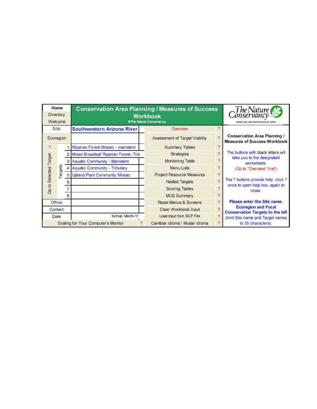|                       | Home<br>Directory<br>Welcome |  | <b>Conservation Area Planning / Measures of Success</b> | Workbook<br>@The Nature Conservancy              | Conservancy<br>Conservancy<br>EAVAID THE LAIR CREAT PLACES ON EARTH |                                                                            |  |                |   |                                          |
|-----------------------|------------------------------|--|---------------------------------------------------------|--------------------------------------------------|---------------------------------------------------------------------|----------------------------------------------------------------------------|--|----------------|---|------------------------------------------|
|                       | Site:                        |  | <b>Southwestern Arizona River</b>                       | Overview                                         |                                                                     |                                                                            |  |                |   |                                          |
|                       | Ecoregion                    |  |                                                         | $\overline{2}$<br>Assessment of Target Viability |                                                                     | <b>Conservation Area Planning /</b><br><b>Measures of Success Workbook</b> |  |                |   |                                          |
| 2                     |                              |  | Riparian Forest Mosaic - mainstem                       | <b>Summary Tables</b>                            | P,                                                                  |                                                                            |  |                |   |                                          |
|                       |                              |  | 2: Mixed Broadleaf Riparian Forest - Trib               | Strategies                                       | $\overline{\phantom{a}}$                                            | The buttons with black letters will                                        |  |                |   |                                          |
| Go to Selected Target |                              |  | 3: Aquatic Community - Mainstem                         | Monitoring Table                                 |                                                                     | take you to the designated<br>worksheets.                                  |  |                |   |                                          |
|                       | argets                       |  | <b>Aquatic Community - Tributary</b>                    | Menu Lists                                       | $\mathcal{D}$                                                       | (Go to "Overview" first!)                                                  |  |                |   |                                          |
|                       |                              |  | <b>Upland Plant Community Mosaic</b>                    | Project Resource Measures                        |                                                                     |                                                                            |  |                |   |                                          |
|                       |                              |  |                                                         | <b>Nested Targets</b>                            | Þ                                                                   | The ? buttons provide help; click ?                                        |  |                |   |                                          |
|                       |                              |  |                                                         |                                                  |                                                                     |                                                                            |  | Scoring Tables | э | once to open help box, again to<br>close |
|                       |                              |  |                                                         |                                                  |                                                                     |                                                                            |  |                |   | 8                                        |
|                       | Office:                      |  |                                                         | Reset Menus & Screens                            | ø                                                                   | Please enter the Site name.                                                |  |                |   |                                          |
|                       | Contact:                     |  |                                                         | Clear Workbook Input                             | $\overline{2}$                                                      | <b>Ecoregion and Focal</b><br><b>Conservation Targets to the left</b>      |  |                |   |                                          |
|                       | Date:                        |  | format: Month-Yr                                        | Load Input from SCP File                         | $\overline{\mathcal{P}}$                                            | (limit Site name and Target names                                          |  |                |   |                                          |
|                       |                              |  | Scaling for Your Computer's Monitor                     | ۰<br>Cambiar idioma / Mudar idioma               |                                                                     | to 35 characters).                                                         |  |                |   |                                          |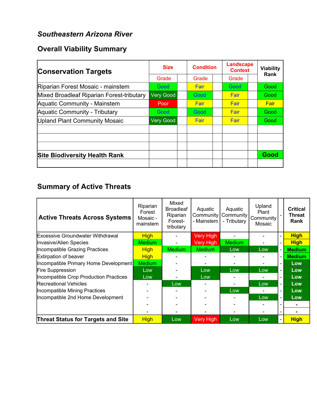## *Southeastern Arizona River*

## **Overall Viability Summary**

| <b>Conservation Targets</b>               | <b>Size</b> |  | <b>Condition</b> |  | <b>Landscape</b><br><b>Context</b> |  | <b>Viability</b> |
|-------------------------------------------|-------------|--|------------------|--|------------------------------------|--|------------------|
|                                           | Grade       |  | Grade            |  | Grade                              |  | Rank             |
| Riparian Forest Mosaic - mainstem         | Good        |  | Fair             |  | Good                               |  | Good             |
| Mixed Broadleaf Riparian Forest-tributary | Very Good   |  | Good             |  | Fair                               |  | Good             |
| Aquatic Community - Mainstem              | Poor        |  | Fair             |  | Fair                               |  | Fair             |
| Aquatic Community - Tributary             | Good        |  | Good             |  | Fair                               |  | Good             |
| Upland Plant Community Mosaic             | Very Good   |  | Fair             |  | Fair                               |  | Good             |
|                                           |             |  |                  |  |                                    |  |                  |
|                                           |             |  |                  |  |                                    |  |                  |
|                                           |             |  |                  |  |                                    |  |                  |
| <b>Site Biodiversity Health Rank</b>      |             |  |                  |  |                                    |  | Good             |
|                                           |             |  |                  |  |                                    |  |                  |

## **Summary of Active Threats**

| <b>Active Threats Across Systems</b>      | Riparian<br>Forest<br>Mosaic -<br>mainstem | Mixed<br><b>Broadleaf</b><br>Riparian<br>Forest-<br>tributary | Aquatic<br>Community<br>- Mainstem | Aquatic<br>Community<br>- Tributary | Upland<br>Plant<br>Community<br>Mosaic |                          | <b>Critical</b><br><b>Threat</b><br>Rank |
|-------------------------------------------|--------------------------------------------|---------------------------------------------------------------|------------------------------------|-------------------------------------|----------------------------------------|--------------------------|------------------------------------------|
| <b>Excessive Groundwater Withdrawal</b>   | <b>High</b>                                |                                                               | <b>Very High</b>                   |                                     |                                        | $\overline{\phantom{a}}$ | <b>High</b>                              |
| <b>Invasive/Alien Species</b>             | <b>Medium</b>                              | $\blacksquare$                                                | Very High                          | <b>Medium</b>                       |                                        | $\blacksquare$           | <b>High</b>                              |
| Incompatible Grazing Practices            | <b>High</b>                                | <b>Medium</b>                                                 | <b>Medium</b>                      | Low                                 | Low                                    |                          | <b>Medium</b>                            |
| Extirpation of beaver                     | <b>High</b>                                |                                                               |                                    |                                     |                                        | $\blacksquare$           | <b>Medium</b>                            |
| Incompatible Primary Home Development     | <b>Medium</b>                              |                                                               |                                    |                                     |                                        | $\blacksquare$           | Low                                      |
| <b>Fire Suppression</b>                   | Low                                        |                                                               | Low                                | Low                                 | Low                                    | $\overline{\phantom{0}}$ | Low                                      |
| Incompatible Crop Production Practices    | Low                                        |                                                               | Low                                |                                     |                                        | $\overline{\phantom{0}}$ | Low                                      |
| <b>Recreational Vehicles</b>              |                                            | Low                                                           |                                    |                                     | Low                                    | $\overline{\phantom{0}}$ | Low                                      |
| Incompatible Mining Practices             |                                            |                                                               |                                    | Low                                 |                                        | $\blacksquare$           | Low                                      |
| Incompatible 2nd Home Development         |                                            |                                                               |                                    |                                     | Low                                    | $\overline{\phantom{0}}$ | Low                                      |
|                                           |                                            |                                                               |                                    |                                     |                                        |                          |                                          |
|                                           |                                            |                                                               |                                    |                                     |                                        |                          |                                          |
| <b>Threat Status for Targets and Site</b> | <b>High</b>                                | Low                                                           | <b>Very High</b>                   | Low                                 | Low                                    |                          | <b>High</b>                              |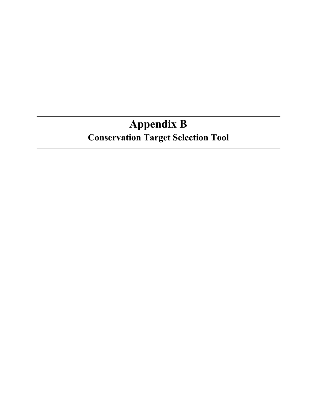# **Appendix B Conservation Target Selection Tool**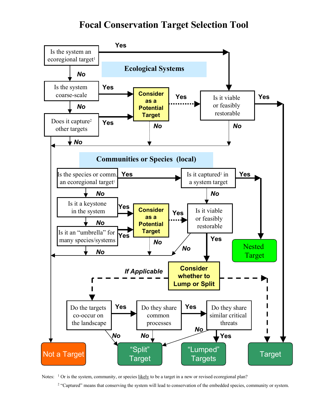## **Focal Conservation Target Selection Tool**



Notes: <sup>1</sup> Or is the system, community, or species likely to be a target in a new or revised ecoregional plan?

<sup>2</sup> "Captured" means that conserving the system will lead to conservation of the embedded species, community or system.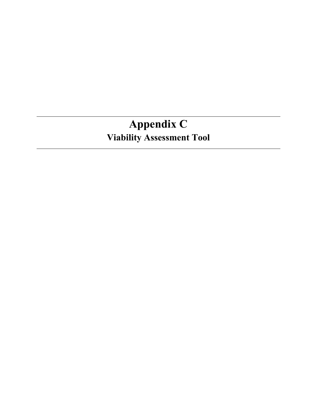# **Appendix C Viability Assessment Tool**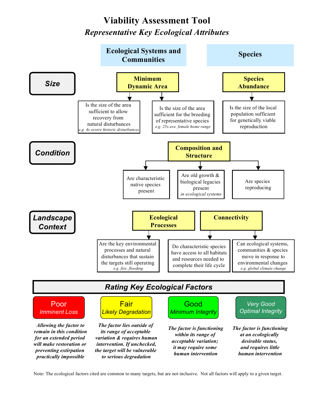## **Viability Assessment Tool** *Representative Key Ecological Attributes*



Note: The ecological factors cited are common to many targets, but are not inclusive. Not all factors will apply to a given target.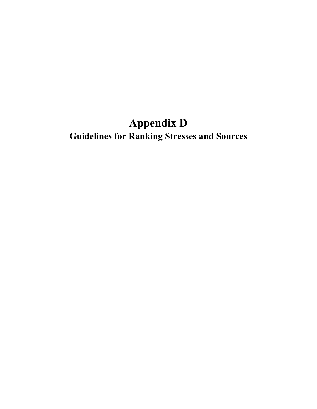# **Appendix D Guidelines for Ranking Stresses and Sources**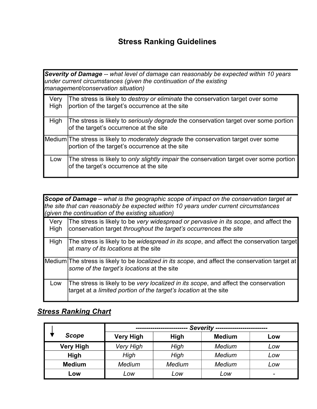## **Stress Ranking Guidelines**

*Severity of Damage -- what level of damage can reasonably be expected within 10 years under current circumstances (given the continuation of the existing management/conservation situation)*

| Very<br>High | The stress is likely to <i>destroy or eliminate</i> the conservation target over some<br>portion of the target's occurrence at the site      |
|--------------|----------------------------------------------------------------------------------------------------------------------------------------------|
| High         | The stress is likely to seriously degrade the conservation target over some portion<br>of the target's occurrence at the site                |
|              | Medium The stress is likely to <i>moderately degrade</i> the conservation target over some<br>portion of the target's occurrence at the site |
| Low          | The stress is likely to only slightly impair the conservation target over some portion<br>of the target's occurrence at the site             |

|              | Scope of Damage – what is the geographic scope of impact on the conservation target at<br>the site that can reasonably be expected within 10 years under current circumstances<br>(given the continuation of the existing situation) |
|--------------|--------------------------------------------------------------------------------------------------------------------------------------------------------------------------------------------------------------------------------------|
| Very<br>High | The stress is likely to be very widespread or pervasive in its scope, and affect the<br>conservation target throughout the target's occurrences the site                                                                             |
| High         | The stress is likely to be widespread in its scope, and affect the conservation target<br>at many of its locations at the site                                                                                                       |
|              | Medium The stress is likely to be localized in its scope, and affect the conservation target at<br>some of the target's locations at the site                                                                                        |
| Low          | The stress is likely to be very localized in its scope, and affect the conservation<br>target at a limited portion of the target's location at the site                                                                              |

## *Stress Ranking Chart*

|                  | Severity ------------------------ |             |               |                |  |  |
|------------------|-----------------------------------|-------------|---------------|----------------|--|--|
| <b>Scope</b>     | <b>Very High</b>                  | <b>High</b> | <b>Medium</b> | Low            |  |  |
| <b>Very High</b> | <b>Very High</b>                  | High        | <b>Medium</b> | Low            |  |  |
| High             | High                              | High        | Medium        | Low            |  |  |
| <b>Medium</b>    | <b>Medium</b>                     | Medium      | Medium        | Low            |  |  |
| Low              | Low                               | Low         | Low           | $\blacksquare$ |  |  |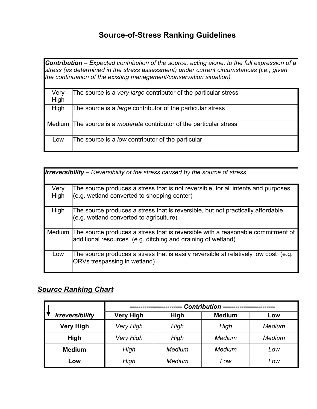## **Source-of-Stress Ranking Guidelines**

**Contribution** – Expected contribution of the source, acting alone, to the full expression of a *stress (as determined in the stress assessment) under current circumstances (i.e., given the continuation of the existing management/conservation situation)*

| Very<br>High | The source is a very large contributor of the particular stress             |
|--------------|-----------------------------------------------------------------------------|
| High         | The source is a <i>large</i> contributor of the particular stress           |
|              | Medium The source is a <i>moderate</i> contributor of the particular stress |
| LOW          | The source is a low contributor of the particular                           |

| <b>Irreversibility</b> – Reversibility of the stress caused by the source of stress |                                                                                                                                                        |  |  |  |  |  |
|-------------------------------------------------------------------------------------|--------------------------------------------------------------------------------------------------------------------------------------------------------|--|--|--|--|--|
| Very<br>High                                                                        | The source produces a stress that is not reversible, for all intents and purposes<br>(e.g. wetland converted to shopping center)                       |  |  |  |  |  |
| High                                                                                | The source produces a stress that is reversible, but not practically affordable<br>(e.g. wetland converted to agriculture)                             |  |  |  |  |  |
|                                                                                     | Medium The source produces a stress that is reversible with a reasonable commitment of<br>additional resources (e.g. ditching and draining of wetland) |  |  |  |  |  |
| Low                                                                                 | The source produces a stress that is easily reversible at relatively low cost (e.g.<br>ORVs trespassing in wetland)                                    |  |  |  |  |  |

## *Source Ranking Chart*

|                        | <b>Contribution</b> |        |               |        |  |  |  |
|------------------------|---------------------|--------|---------------|--------|--|--|--|
| <b>Irreversibility</b> | <b>Very High</b>    | High   | <b>Medium</b> | Low    |  |  |  |
| <b>Very High</b>       | <b>Very High</b>    | High   | High          | Medium |  |  |  |
| High                   | <b>Very High</b>    | High   | Medium        | Medium |  |  |  |
| <b>Medium</b>          | High                | Medium | Medium        | Low    |  |  |  |
| Low                    | High                | Medium | Low           | Low    |  |  |  |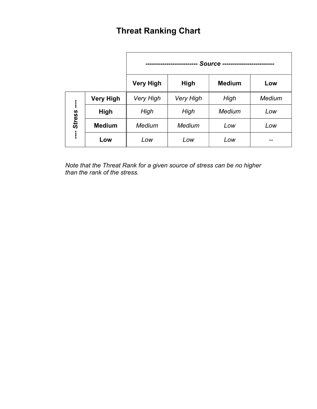# **Threat Ranking Chart**

|               |                  | <b>Source</b>    |                  |               |               |
|---------------|------------------|------------------|------------------|---------------|---------------|
|               |                  | <b>Very High</b> | High             | <b>Medium</b> | Low           |
| <b>Stress</b> | <b>Very High</b> | <b>Very High</b> | <b>Very High</b> | High          | <b>Medium</b> |
|               | <b>High</b>      | High             | High             | Medium        | Low           |
|               | <b>Medium</b>    | Medium           | Medium           | Low           | Low           |
|               | Low              | Low              | Low              | Low           | --            |

*Note that the Threat Rank for a given source of stress can be no higher than the rank of the stress.*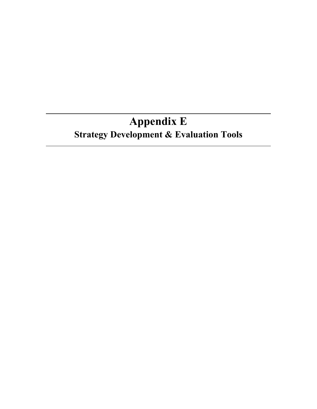# **Appendix E Strategy Development & Evaluation Tools**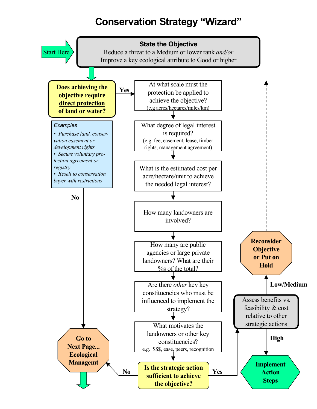# **Conservation Strategy "Wizard"**

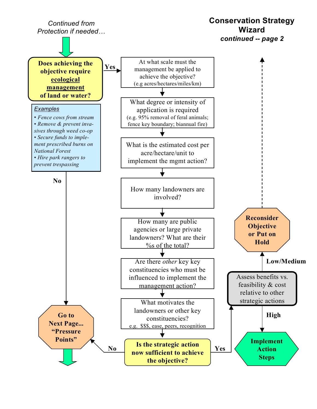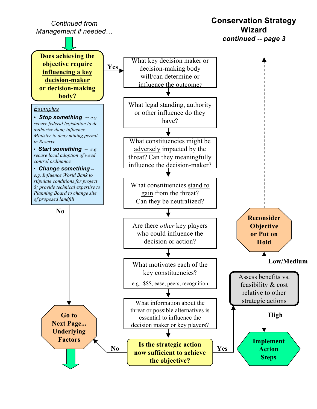**Conservation Strategy Wizard** *continued -- page 3* What key decision maker or decision-making body will/can determine or influence the outcome? **Does achieving the objective require influencing a key decision-maker or decision-making body? Yes** What legal standing, authority or other influence do they have? What constituencies might be adversely impacted by the threat? Can they meaningfully influence the decision-maker? What constituencies stand to gain from the threat? Can they be neutralized? Are there *other* key players who could influence the decision or action? What motivates each of the key constituencies? e.g. \$\$\$, ease, peers, recognition **No Is the strategic action now sufficient to achieve No Yes the objective? Go to Next Page... Underlying Factors** *Continued from Management if needed Examples* - *Stop something -- e.g. secure federal legislation to deauthorize dam; influence Minister to deny mining permit in Reserve Start something -- e.g. secure local adoption of weed control ordinance* - *Change something - e.g. Influence World Bank to stipulate conditions for project \$; provide technical expertise to Planning Board to change site of proposed landfill* Assess benefits vs. feasibility & cost relative to other strategic actions **Reconsider Objective or Put on Hold High Low/Medium** What information about the threat or possible alternatives is essential to influence the decision maker or key players? **Implement Action Steps**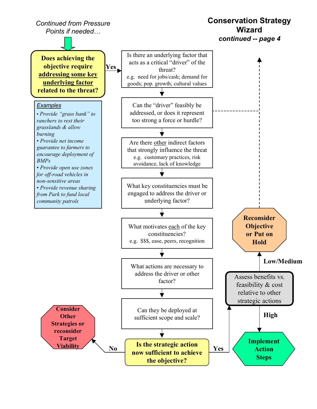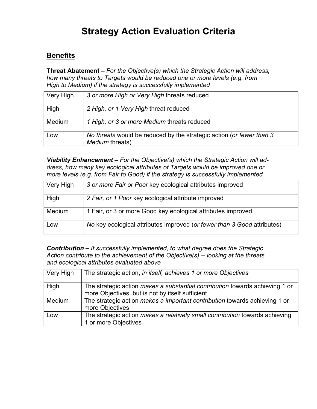## **Strategy Action Evaluation Criteria**

## **Benefits**

**Threat Abatement** *For the Objective(s) which the Strategic Action will address, how many threats to Targets would be reduced one or more levels (e.g. from High to Medium) if the strategy is successfully implemented*

| Very High     | 3 or more High or Very High threats reduced                                             |
|---------------|-----------------------------------------------------------------------------------------|
| High          | 2 High, or 1 Very High threat reduced                                                   |
| <b>Medium</b> | 1 High, or 3 or more Medium threats reduced                                             |
| Low           | No threats would be reduced by the strategic action (or fewer than 3<br>Medium threats) |

**Viability Enhancement** – For the Objective(s) which the Strategic Action will ad*dress, how many key ecological attributes of Targets would be improved one or more levels (e.g. from Fair to Good) if the strategy is successfully implemented*

| Very High     | 3 or more Fair or Poor key ecological attributes improved               |
|---------------|-------------------------------------------------------------------------|
| High          | 2 Fair, or 1 Poor key ecological attribute improved                     |
| <b>Medium</b> | 1 Fair, or 3 or more Good key ecological attributes improved            |
| Low           | No key ecological attributes improved (or fewer than 3 Good attributes) |

*Contribution If successfully implemented, to what degree does the Strategic Action contribute to the achievement of the Objective(s) -- looking at the threats and ecological attributes evaluated above*

| Very High     | The strategic action, in itself, achieves 1 or more Objectives                                                                          |
|---------------|-----------------------------------------------------------------------------------------------------------------------------------------|
| High          | The strategic action <i>makes a substantial contribution</i> towards achieving 1 or<br>more Objectives, but is not by itself sufficient |
| <b>Medium</b> | The strategic action makes a important contribution towards achieving 1 or<br>more Objectives                                           |
| Low           | The strategic action <i>makes a relatively small contribution</i> towards achieving<br>1 or more Objectives                             |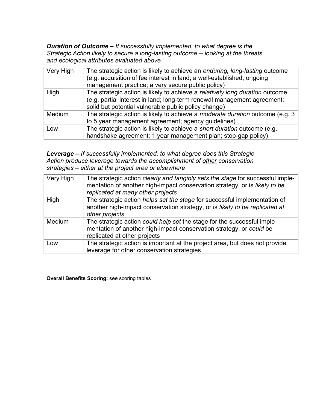*Duration of Outcome - If successfully implemented, to what degree is the Strategic Action likely to secure a long-lasting outcome -- looking at the threats and ecological attributes evaluated above*

| Very High | The strategic action is likely to achieve an enduring, long-lasting outcome<br>(e.g. acquisition of fee interest in land; a well-established, ongoing<br>management practice; a very secure public policy)      |
|-----------|-----------------------------------------------------------------------------------------------------------------------------------------------------------------------------------------------------------------|
| High      | The strategic action is likely to achieve a relatively long duration outcome<br>(e.g. partial interest in land; long-term renewal management agreement;<br>solid but potential vulnerable public policy change) |
| Medium    | The strategic action is likely to achieve a <i>moderate duration</i> outcome (e.g. 3<br>to 5 year management agreement; agency guidelines)                                                                      |
| Low       | The strategic action is likely to achieve a short duration outcome (e.g.<br>handshake agreement; 1 year management plan; stop-gap policy)                                                                       |

*Leverage If successfully implemented, to what degree does this Strategic Action produce leverage towards the accomplishment of other conservation strategies either at the project area or elsewhere*

| Very High     | The strategic action <i>clearly and tangibly sets the stage</i> for successful imple-<br>mentation of another high-impact conservation strategy, or is likely to be<br>replicated at many other projects |
|---------------|----------------------------------------------------------------------------------------------------------------------------------------------------------------------------------------------------------|
| High          | The strategic action helps set the stage for successful implementation of<br>another high-impact conservation strategy, or is likely to be replicated at<br>other projects                               |
| <b>Medium</b> | The strategic action could help set the stage for the successful imple-<br>mentation of another high-impact conservation strategy, or could be<br>replicated at other projects                           |
| Low           | The strategic action is important at the project area, but does not provide<br>leverage for other conservation strategies                                                                                |

**Overall Benefits Scoring:** see scoring tables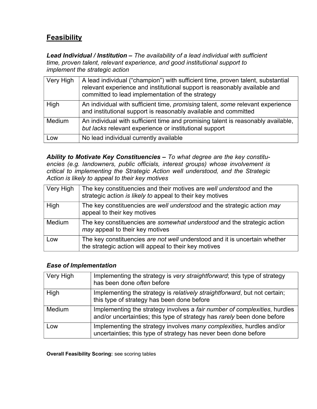## **Feasibility**

*Lead Individual / Institution The availability of a lead individual with sufficient time, proven talent, relevant experience, and good institutional support to implement the strategic action*

| Very High     | A lead individual ("champion") with sufficient time, proven talent, substantial<br>relevant experience and institutional support is reasonably available and<br>committed to lead implementation of the strategy |
|---------------|------------------------------------------------------------------------------------------------------------------------------------------------------------------------------------------------------------------|
| High          | An individual with sufficient time, promising talent, some relevant experience<br>and institutional support is reasonably available and committed                                                                |
| <b>Medium</b> | An individual with sufficient time and promising talent is reasonably available,<br>but lacks relevant experience or institutional support                                                                       |
| Low           | No lead individual currently available                                                                                                                                                                           |

*Ability to Motivate Key Constituencies To what degree are the key constituencies (e.g. landowners, public officials, interest groups) whose involvement is critical to implementing the Strategic Action well understood, and the Strategic Action is likely to appeal to their key motives*

| Very High     | The key constituencies and their motives are well understood and the<br>strategic action is likely to appeal to their key motives   |
|---------------|-------------------------------------------------------------------------------------------------------------------------------------|
| High          | The key constituencies are well understood and the strategic action may<br>appeal to their key motives                              |
| <b>Medium</b> | The key constituencies are somewhat understood and the strategic action<br>may appeal to their key motives                          |
| Low           | The key constituencies are not well understood and it is uncertain whether<br>the strategic action will appeal to their key motives |

#### *Ease of Implementation*

| Very High | Implementing the strategy is very straightforward; this type of strategy<br>has been done often before                                               |
|-----------|------------------------------------------------------------------------------------------------------------------------------------------------------|
|           |                                                                                                                                                      |
| High      | Implementing the strategy is relatively straightforward, but not certain;<br>this type of strategy has been done before                              |
| Medium    | Implementing the strategy involves a fair number of complexities, hurdles<br>and/or uncertainties; this type of strategy has rarely been done before |
| Low       | Implementing the strategy involves many complexities, hurdles and/or<br>uncertainties; this type of strategy has never been done before              |

**Overall Feasibility Scoring:** see scoring tables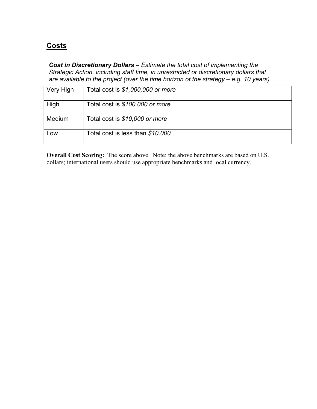## **Costs**

*Cost in Discretionary Dollars Estimate the total cost of implementing the Strategic Action, including staff time, in unrestricted or discretionary dollars that are available to the project (over the time horizon of the strategy e.g. 10 years)*

| Very High | Total cost is \$1,000,000 or more |
|-----------|-----------------------------------|
| High      | Total cost is \$100,000 or more   |
| Medium    | Total cost is \$10,000 or more    |
| LOW       | Total cost is less than \$10,000  |

**Overall Cost Scoring:** The score above. Note: the above benchmarks are based on U.S. dollars; international users should use appropriate benchmarks and local currency.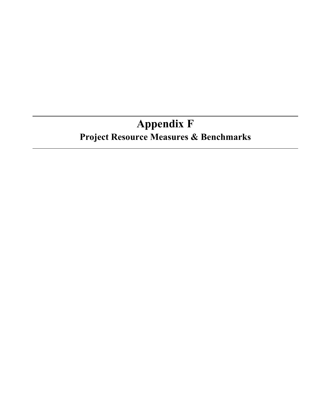# **Appendix F Project Resource Measures & Benchmarks**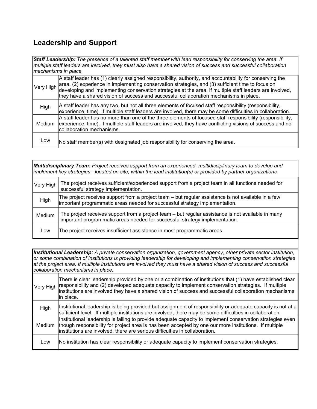## **Leadership and Support**

*Staff Leadership: The presence of a talented staff member with lead responsibility for conserving the area. If multiple staff leaders are involved, they must also have a shared vision of success and successful collaboration mechanisms in place.*

| Very High | A staff leader has (1) clearly assigned responsibility, authority, and accountability for conserving the<br>area, (2) experience in implementing conservation strategies, and (3) sufficient time to focus on<br>developing and implementing conservation strategies at the area. If multiple staff leaders are involved,<br>they have a shared vision of success and successful collaboration mechanisms in place. |
|-----------|---------------------------------------------------------------------------------------------------------------------------------------------------------------------------------------------------------------------------------------------------------------------------------------------------------------------------------------------------------------------------------------------------------------------|
| High      | A staff leader has any two, but not all three elements of focused staff responsibility (responsibility,<br>experience, time). If multiple staff leaders are involved, there may be some difficulties in collaboration.                                                                                                                                                                                              |
| Medium    | A staff leader has no more than one of the three elements of focused staff responsibility (responsibility,<br>experience, time). If multiple staff leaders are involved, they have conflicting visions of success and no<br>collaboration mechanisms.                                                                                                                                                               |
| Low       | No staff member(s) with designated job responsibility for conserving the area.                                                                                                                                                                                                                                                                                                                                      |

*Multidisciplinary Team: Project receives support from an experienced, multidisciplinary team to develop and implement key strategies - located on site, within the lead institution(s) or provided by partner organizations.*

| Very High | The project receives sufficient/experienced support from a project team in all functions needed for<br>successful strategy implementation.                                         |
|-----------|------------------------------------------------------------------------------------------------------------------------------------------------------------------------------------|
| High      | The project receives support from a project team – but regular assistance is not available in a few<br>important programmatic areas needed for successful strategy implementation. |
| Medium    | The project receives support from a project team - but regular assistance is not available in many<br>important programmatic areas needed for successful strategy implementation.  |
| Low       | The project receives insufficient assistance in most programmatic areas.                                                                                                           |

*Institutional Leadership: A private conservation organization, government agency, other private sector institution, or some combination of institutions is providing leadership for developing and implementing conservation strategies at the project area. If multiple institutions are involved they must have a shared vision of success and successful collaboration mechanisms in place.*

|        | There is clear leadership provided by one or a combination of institutions that (1) have established clear<br>Very High responsibility and (2) developed adequate capacity to implement conservation strategies. If multiple<br>institutions are involved they have a shared vision of success and successful collaboration mechanisms<br>in place. |
|--------|-----------------------------------------------------------------------------------------------------------------------------------------------------------------------------------------------------------------------------------------------------------------------------------------------------------------------------------------------------|
| High   | Institutional leadership is being provided but assignment of responsibility or adequate capacity is not at a<br>sufficient level. If multiple institutions are involved, there may be some difficulties in collaboration.                                                                                                                           |
| Medium | Institutional leadership is failing to provide adequate capacity to implement conservation strategies even<br>though responsibility for project area is has been accepted by one our more institutions. If multiple<br>institutions are involved, there are serious difficulties in collaboration.                                                  |
| Low    | No institution has clear responsibility or adequate capacity to implement conservation strategies.                                                                                                                                                                                                                                                  |